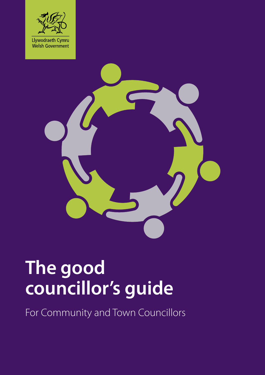



# **The good councillor's guide**

For Community and Town Councillors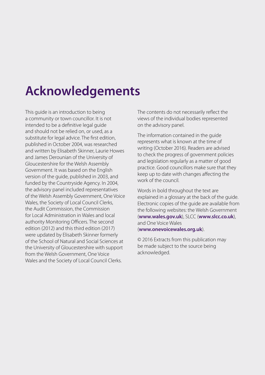## **Acknowledgements**

This guide is an introduction to being a community or town councillor. It is not intended to be a definitive legal guide and should not be relied on, or used, as a substitute for legal advice. The first edition, published in October 2004, was researched and written by Elisabeth Skinner, Laurie Howes and James Derounian of the University of Gloucestershire for the Welsh Assembly Government. It was based on the English version of the guide, published in 2003, and funded by the Countryside Agency. In 2004, the advisory panel included representatives of the Welsh Assembly Government, One Voice Wales, the Society of Local Council Clerks, the Audit Commission, the Commission for Local Administration in Wales and local authority Monitoring Officers. The second edition (2012) and this third edition (2017) were updated by Elisabeth Skinner formerly of the School of Natural and Social Sciences at the University of Gloucestershire with support from the Welsh Government, One Voice Wales and the Society of Local Council Clerks.

The contents do not necessarily reflect the views of the individual bodies represented on the advisory panel.

The information contained in the guide represents what is known at the time of writing (October 2016). Readers are advised to check the progress of government policies and legislation regularly as a matter of good practice. Good councillors make sure that they keep up to date with changes affecting the work of the council.

Words in bold throughout the text are explained in a glossary at the back of the guide. Electronic copies of the guide are available from the following websites: the Welsh Government (**[www.wales.gov.uk](http://www.wales.gov.uk)**), SLCC (**[www.slcc.co.uk](http://www.slcc.co.uk)**), and One Voice Wales (**[www.onevoicewales.org.uk](http://www.onevoicewales.org.uk)**).

© 2016 Extracts from this publication may be made subject to the source being acknowledged.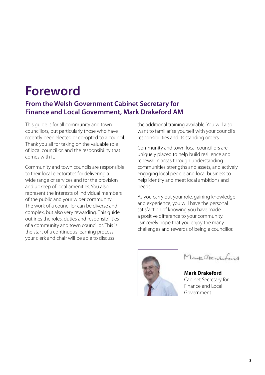## **Foreword**

#### **From the Welsh Government Cabinet Secretary for Finance and Local Government, Mark Drakeford AM**

This guide is for all community and town councillors, but particularly those who have recently been elected or co-opted to a council. Thank you all for taking on the valuable role of local councillor, and the responsibility that comes with it.

Community and town councils are responsible to their local electorates for delivering a wide range of services and for the provision and upkeep of local amenities. You also represent the interests of individual members of the public and your wider community. The work of a councillor can be diverse and complex, but also very rewarding. This guide outlines the roles, duties and responsibilities of a community and town councillor. This is the start of a continuous learning process; your clerk and chair will be able to discuss

the additional training available. You will also want to familiarise yourself with your council's responsibilities and its standing orders.

Community and town local councillors are uniquely placed to help build resilience and renewal in areas through understanding communities' strengths and assets, and actively engaging local people and local business to help identify and meet local ambitions and needs.

As you carry out your role, gaining knowledge and experience, you will have the personal satisfaction of knowing you have made a positive difference to your community. I sincerely hope that you enjoy the many challenges and rewards of being a councillor.



Mont Dentifyed

**Mark Drakeford** Cabinet Secretary for Finance and Local Government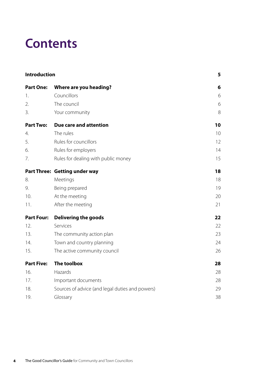## **Contents**

<span id="page-3-24"></span><span id="page-3-23"></span><span id="page-3-22"></span><span id="page-3-21"></span><span id="page-3-20"></span><span id="page-3-19"></span><span id="page-3-18"></span><span id="page-3-17"></span><span id="page-3-16"></span><span id="page-3-15"></span><span id="page-3-14"></span><span id="page-3-13"></span><span id="page-3-12"></span><span id="page-3-11"></span><span id="page-3-10"></span><span id="page-3-9"></span><span id="page-3-8"></span><span id="page-3-7"></span><span id="page-3-6"></span><span id="page-3-5"></span><span id="page-3-4"></span><span id="page-3-3"></span><span id="page-3-2"></span><span id="page-3-1"></span><span id="page-3-0"></span>

| Introduction      |                                                 | 5  |
|-------------------|-------------------------------------------------|----|
| <b>Part One:</b>  | Where are you heading?                          | 6  |
| 1.                | Councillors                                     | 6  |
| 2.                | The council                                     | 6  |
| 3.                | Your community                                  | 8  |
| <b>Part Two:</b>  | Due care and attention                          | 10 |
| 4.                | The rules                                       | 10 |
| 5.                | Rules for councillors                           | 12 |
| 6.                | Rules for employers                             | 14 |
| 7.                | Rules for dealing with public money             | 15 |
|                   | <b>Part Three: Getting under way</b>            | 18 |
| 8.                | Meetings                                        | 18 |
| 9.                | Being prepared                                  | 19 |
| 10.               | At the meeting                                  | 20 |
| 11.               | After the meeting                               | 21 |
| <b>Part Four:</b> | <b>Delivering the goods</b>                     | 22 |
| 12.               | Services                                        | 22 |
| 13.               | The community action plan                       | 23 |
| 14.               | Town and country planning                       | 24 |
| 15.               | The active community council                    | 26 |
| <b>Part Five:</b> | <b>The toolbox</b>                              | 28 |
| 16.               | Hazards                                         | 28 |
| 17.               | Important documents                             | 28 |
| 18.               | Sources of advice (and legal duties and powers) | 29 |
| 19.               | Glossary                                        | 38 |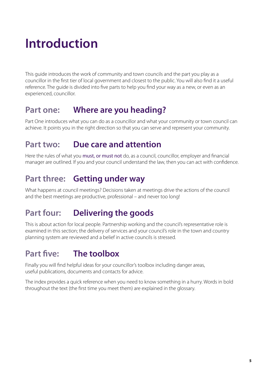## <span id="page-4-0"></span>**[Introduction](#page-3-0)**

This guide introduces the work of community and town councils and the part you play as a councillor in the first tier of local government and closest to the public. You will also find it a useful reference. The guide is divided into five parts to help you find your way as a new, or even as an experienced, councillor.

### **Part one: Where are you heading?**

Part One introduces what you can do as a councillor and what your community or town council can achieve. It points you in the right direction so that you can serve and represent your community.

### **Part two: Due care and attention**

Here the rules of what you must, or must not do, as a council, councillor, employer and financial manager are outlined. If you and your council understand the law, then you can act with confidence.

### **Part three: Getting under way**

What happens at council meetings? Decisions taken at meetings drive the actions of the council and the best meetings are productive, professional – and never too long!

## **Part four: Delivering the goods**

This is about action for local people. Partnership working and the council's representative role is examined in this section; the delivery of services and your council's role in the town and country planning system are reviewed and a belief in active councils is stressed.

## **Part five: The toolbox**

Finally you will find helpful ideas for your councillor's toolbox including danger areas, useful publications, documents and contacts for advice.

The index provides a quick reference when you need to know something in a hurry. Words in bold throughout the text (the first time you meet them) are explained in the glossary.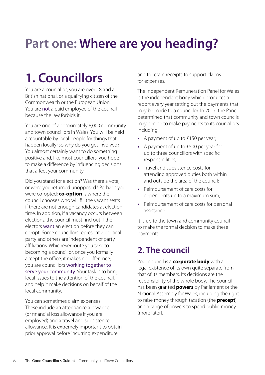## <span id="page-5-0"></span>**[Part one: Where are you heading?](#page-3-3)**

## <span id="page-5-1"></span>**[1. Councillors](#page-3-1)**

You are a councillor; you are over 18 and a British national, or a qualifying citizen of the Commonwealth or the European Union. You are not a paid employee of the council because the law forbids it.

You are one of approximately 8,000 community and town councillors in Wales. You will be held accountable by local people for things that happen locally; so why do you get involved? You almost certainly want to do something positive and, like most councillors, you hope to make a difference by influencing decisions that affect your community.

<span id="page-5-3"></span>Did you stand for election? Was there a vote, or were you returned unopposed? Perhaps you were co-opted; **[co-option](#page-38-1)** is where the council chooses who will fill the vacant seats if there are not enough candidates at election time. In addition, if a vacancy occurs between elections, the council must find out if the electors want an election before they can co-opt. Some councillors represent a political party and others are independent of party affiliations. Whichever route you take to becoming a councillor, once you formally accept the office, it makes no difference; you are councillors working together to serve your community. Your task is to bring local issues to the attention of the council, and help it make decisions on behalf of the local community.

You can sometimes claim expenses. These include an attendance allowance (or financial loss allowance if you are employed) and a travel and subsistence allowance. It is extremely important to obtain prior approval before incurring expenditure

and to retain receipts to support claims for expenses.

The Independent Remuneration Panel for Wales is the independent body which produces a report every year setting out the payments that may be made to a councillor. In 2017, the Panel determined that community and town councils may decide to make payments to its councillors including:

- **•** A payment of up to £150 per year;
- **•** A payment of up to £500 per year for up to three councillors with specific responsibilities;
- **•** Travel and subsistence costs for attending approved duties both within and outside the area of the council;
- **•** Reimbursement of care costs for dependents up to a maximum sum;
- **•** Reimbursement of care costs for personal assistance.

It is up to the town and community council to make the formal decision to make these payments.

### <span id="page-5-2"></span>**[2. The council](#page-3-2)**

<span id="page-5-6"></span><span id="page-5-5"></span><span id="page-5-4"></span>Your council is a **[corporate body](#page-38-2)** with a legal existence of its own quite separate from that of its members. Its decisions are the responsibility of the whole body. The council has been granted **[powers](#page-40-0)** by Parliament or the National Assembly for Wales, including the right to raise money through taxation (the **[precept](#page-40-1)**) and a range of powers to spend public money (more later).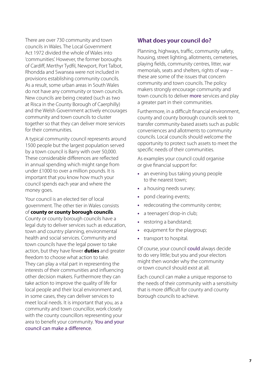There are over 730 community and town councils in Wales. The Local Government Act 1972 divided the whole of Wales into 'communities'. However, the former boroughs of Cardiff, Merthyr Tydfil, Newport, Port Talbot, Rhondda and Swansea were not included in provisions establishing community councils. As a result, some urban areas in South Wales do not have any community or town councils. New councils are being created (such as two at Risca in the County Borough of Caerphilly) and the Welsh Government actively encourages community and town councils to cluster together so that they can deliver more services for their communities.

A typical community council represents around 1500 people but the largest population served by a town council is Barry with over 50,000. These considerable differences are reflected in annual spending which might range from under £1000 to over a million pounds. It is important that you know how much your council spends each year and where the money goes.

<span id="page-6-1"></span><span id="page-6-0"></span>Your council is an elected tier of local government. The other tier in Wales consists of **[county or county borough councils](#page-38-3)**. County or county borough councils have a legal duty to deliver services such as education, town and country planning, environmental health and social services. Community and town councils have the legal power to take action, but they have fewer **[duties](#page-39-0)** and greater freedom to choose what action to take. They can play a vital part in representing the interests of their communities and influencing other decision makers. Furthermore they can take action to improve the quality of life for local people and their local environment and, in some cases, they can deliver services to meet local needs. It is important that you, as a community and town councillor, work closely with the county councillors representing your area to benefit your community. You and your council can make a difference.

#### **What does your council do?**

Planning, highways, traffic, community safety, housing, street lighting, allotments, cemeteries, playing fields, community centres, litter, war memorials, seats and shelters, rights of way – these are some of the issues that concern community and town councils. The policy makers strongly encourage community and town councils to deliver more services and play a greater part in their communities.

Furthermore, in a difficult financial environment, county and county borough councils seek to transfer community-based assets such as public conveniences and allotments to community councils. Local councils should welcome the opportunity to protect such assets to meet the specific needs of their communities.

As examples your council could organise or give financial support for:

- **•** an evening bus taking young people to the nearest town;
- **•** a housing needs survey;
- **•** pond clearing events;
- **•** redecorating the community centre;
- a teenagers' drop-in club;
- **•** restoring a bandstand;
- **•** equipment for the playgroup;
- **•** transport to hospital.

Of course, your council could always decide to do very little; but you and your electors might then wonder why the community or town council should exist at all.

Each council can make a unique response to the needs of their community with a sensitivity that is more difficult for county and county borough councils to achieve.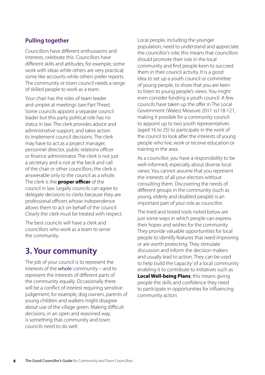#### **Pulling together**

Councillors have different enthusiasms and interests, celebrate this. Councillors have different skills and attitudes; for example, some work with ideas while others are very practical; some like accounts while others prefer reports. The community or town council needs a range of skilled people to work as a team.

Your chair has the roles of team leader and umpire at meetings (see Part Three). Some councils appoint a separate council leader but this party political role has no status in law. The clerk provides advice and administrative support, and takes action to implement council decisions. The clerk may have to act as a project manager, personnel director, public relations officer or finance administrator. The clerk is not just a secretary and is not at the beck and call of the chair or other councillors; the clerk is answerable only to the council as a whole. The clerk is the **[proper officer](#page-40-2)** of the council in law. Legally councils can agree to delegate decisions to clerks because they are professional officers whose independence allows them to act on behalf of the council. Clearly the clerk must be treated with respect.

The best councils will have a clerk and councillors who work as a team to serve the community.

## <span id="page-7-0"></span>**[3. Your community](#page-3-4)**

The job of your council is to represent the interests of the whole community – and to represent the interests of different parts of the community equally. Occasionally there will be a conflict of interest requiring sensitive judgement; for example, dog owners, parents of young children and walkers might disagree about use of the village green. Making difficult decisions, in an open and reasoned way, is something that community and town councils need to do well.

Local people, including the younger population, need to understand and appreciate the councillor's role; this means that councillors should promote their role in the local community and find people keen to succeed them in their council activity. It is a good idea to set up a youth council or committee of young people, to show that you are keen to listen to young people's views. You might even consider funding a youth council. A few councils have taken up the offer in The Local Government (Wales) Measure 2011 ss118-121, making it possible for a community council to appoint up to two youth representatives (aged 16 to 25) to participate in the work of the council to look after the interests of young people who live, work or receive education or training in the area.

<span id="page-7-2"></span>As a councillor, you have a responsibility to be well-informed, especially about diverse local views. You cannot assume that you represent the interests of all your electors without consulting them. Discovering the needs of different groups in the community (such as young, elderly and disabled people) is an important part of your role as councillor.

<span id="page-7-1"></span>The tried and tested tools noted below are just some ways in which people can express their hopes and wishes for the community. They provide valuable opportunities for local people to identify features that need improving or are worth protecting. They stimulate discussion and inform the decision makers and usually lead to action. They can be used to help build the 'capacity' of a local community enabling it to contribute to initiatives such as **[Local Well-being Plans](#page-39-1)**; this means giving people the skills and confidence they need to participate in opportunities for influencing community action.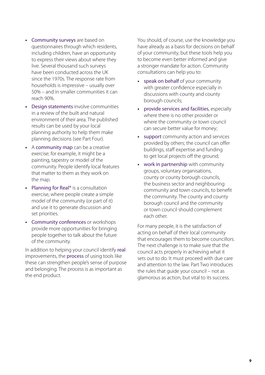- **•** Community surveys are based on questionnaires through which residents, including children, have an opportunity to express their views about where they live. Several thousand such surveys have been conducted across the UK since the 1970s. The response rate from households is impressive – usually over 50% – and in smaller communities it can reach 90%.
- **•** Design statements involve communities in a review of the built and natural environment of their area. The published results can be used by your local planning authority to help them make planning decisions (see Part Four).
- **•** A community map can be a creative exercise; for example, it might be a painting, tapestry or model of the community. People identify local features that matter to them as they work on the map.
- **•** Planning for Real® is a consultation exercise, where people create a simple model of the community (or part of it) and use it to generate discussion and set priorities.
- **•** Community conferences or workshops provide more opportunities for bringing people together to talk about the future of the community.

In addition to helping your council identify real improvements, the process of using tools like these can strengthen people's sense of purpose and belonging. The process is as important as the end product.

You should, of course, use the knowledge you have already as a basis for decisions on behalf of your community, but these tools help you to become even better informed and give a stronger mandate for action. Community consultations can help you to:

- **•** speak on behalf of your community with greater confidence especially in discussions with county and county borough councils;
- **•** provide services and facilities, especially where there is no other provider or where the community or town council can secure better value for money;
- **•** support community action and services provided by others; the council can offer buildings, staff expertise and funding to get local projects off the ground;
- **•** work in partnership with community groups, voluntary organisations, county or county borough councils, the business sector and neighbouring community and town councils, to benefit the community. The county and county borough council and the community or town council should complement each other.

For many people, it is the satisfaction of acting on behalf of their local community that encourages them to become councillors. The next challenge is to make sure that the council acts properly in achieving what it sets out to do. It must proceed with due care and attention to the law. Part Two introduces the rules that guide your council – not as glamorous as action, but vital to its success.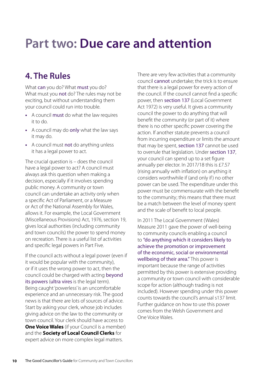## <span id="page-9-0"></span>**[Part two: Due care and attention](#page-3-6)**

## <span id="page-9-1"></span>**[4. The Rules](#page-3-5)**

What can you do? What must you do? What must you not do? The rules may not be exciting, but without understanding them your council could run into trouble.

- **•** A council must do what the law requires it to do.
- **•** A council may do only what the law says it may do.
- **•** A council must not do anything unless it has a legal power to act.

The crucial question is – does the council have a legal power to act? A council must always ask this question when making a decision, especially if it involves spending public money. A community or town council can undertake an activity only when a specific Act of Parliament, or a Measure or Act of the National Assembly for Wales, allows it. For example, the Local Government (Miscellaneous Provisions) Act, 1976, section 19, gives local authorities (including community and town councils) the power to spend money on recreation. There is a useful list of activities and specific legal powers in Part Five.

<span id="page-9-3"></span><span id="page-9-2"></span>If the council acts without a legal power (even if it would be popular with the community), or if it uses the wrong power to act, then the council could be charged with acting beyond its powers (ultra vires is the legal term). Being caught 'powerless' is an uncomfortable experience and an unnecessary risk. The good news is that there are lots of sources of advice. Start by asking your clerk, whose job includes giving advice on the law to the community or town council. Your clerk should have access to **[One Voice Wales](#page-40-3)** (if your Council is a member) and the **Society of Local Council Clerks** for expert advice on more complex legal matters.

There are very few activities that a community council cannot undertake; the trick is to ensure that there is a legal power for every action of the council. If the council cannot find a specific power, then section 137 (Local Government Act 1972) is very useful. It gives a community council the power to do anything that will benefit the community (or part of it) where there is no other specific power covering the action. If another statute prevents a council from incurring expenditure or limits the amount that may be spent, section 137 cannot be used to overrule that legislation. Under section 137, your council can spend up to a set figure annually per elector. In 2017/18 this is £7.57 (rising annually with inflation) on anything it considers worthwhile if (and only if ) no other power can be used. The expenditure under this power must be commensurate with the benefit to the community; this means that there must be a match between the level of money spent and the scale of benefit to local people.

In 2011 The Local Government (Wales) Measure 2011 gave the power of well-being to community councils enabling a council to "do anything which it considers likely to achieve the promotion or improvement of the economic, social or environmental wellbeing of their area." This power is important because the range of activities permitted by this power is extensive providing a community or town council with considerable scope for action (although trading is not included). However spending under this power counts towards the council's annual s137 limit. Further guidance on how to use this power comes from the Welsh Government and One Voice Wales.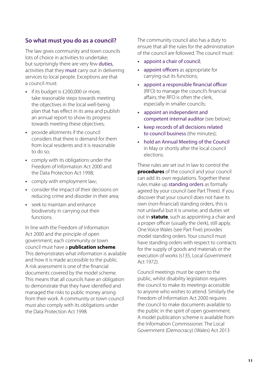#### **So what must you do as a council?**

The law gives community and town councils lots of choice in activities to undertake; but surprisingly there are very few duties, activities that they must carry out in delivering services to local people. Exceptions are that a council must:

- **•** if its budget is £200,000 or more, take reasonable steps towards meeting the objectives in the local well-being plan that has effect in its area and publish an annual report to show its progress towards meeting these objectives;
- **•** provide allotments if the council considers that there is demand for them from local residents and it is reasonable to do so;
- **•** comply with its obligations under the Freedom of Information Act 2000 and the Data Protection Act 1998;
- **•** comply with employment law;
- **•** consider the impact of their decisions on reducing crime and disorder in their area;
- **•** seek to maintain and enhance biodiversity in carrying out their functions.

<span id="page-10-1"></span>In line with the Freedom of Information Act 2000 and the principle of open government, each community or town council must have a **[publication scheme](#page-41-0)**. This demonstrates what information is available and how it is made accessible to the public. A risk assessment is one of the financial documents covered by the model scheme. This means that all councils have an obligation to demonstrate that they have identified and managed the risks to public money arising from their work. A community or town council must also comply with its obligations under the Data Protection Act 1998.

The community council also has a duty to ensure that all the rules for the administration of the council are followed. The council must:

- **•** appoint a chair of council;
- **•** appoint officers as appropriate for carrying out its functions;
- **•** appoint a responsible financial officer (RFO) to manage the council's financial affairs; the RFO is often the clerk, especially in smaller councils;
- **•** appoint an independent and competent internal auditor (see below);
- **•** keep records of all decisions related to council business (the minutes);
- **•** hold an Annual Meeting of the Council in May or shortly after the local council elections.

<span id="page-10-2"></span><span id="page-10-0"></span>These rules are set out in law to control the **[procedures](#page-40-4)** of the council and your council can add its own regulations. Together these rules make up standing orders as formally agreed by your council (see Part Three). If you discover that your council does not have its own (non-financial) standing orders, this is not unlawful but it is unwise, and duties set out in **[statute](#page-41-1)**, such as appointing a chair and a proper officer (usually the clerk), still apply. One Voice Wales (see Part Five) provides model standing orders. Your council must have standing orders with respect to contracts for the supply of goods and materials or the execution of works (s135, Local Government Act 1972).

Council meetings must be open to the public, whilst disability legislation requires the council to make its meetings accessible to anyone who wishes to attend. Similarly the Freedom of Information Act 2000 requires the council to make documents available to the public in the spirit of open government. A model publication scheme is available from the Information Commissioner. The Local Government (Democracy) (Wales) Act 2013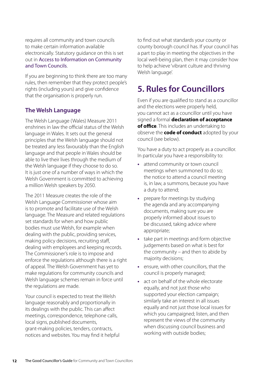requires all community and town councils to make certain information available electronically. Statutory guidance on this is set out in Access to Information on Community and Town Councils.

If you are beginning to think there are too many rules, then remember that they protect people's rights (including yours) and give confidence that the organisation is properly run.

#### **The Welsh Language**

The Welsh Language (Wales) Measure 2011 enshrines in law the official status of the Welsh language in Wales. It sets out the general principles that the Welsh language should not be treated any less favourably than the English language and that people in Wales should be able to live their lives through the medium of the Welsh language if they choose to do so. It is just one of a number of ways in which the Welsh Government is committed to achieving a million Welsh speakers by 2050.

The 2011 Measure creates the role of the Welsh Language Commissioner whose aim is to promote and facilitate use of the Welsh language. The Measure and related regulations set standards for when and how public bodies must use Welsh, for example when dealing with the public, providing services, making policy decisions, recruiting staff, dealing with employees and keeping records. The Commissioner's role is to impose and enforce the regulations although there is a right of appeal. The Welsh Government has yet to make regulations for community councils and Welsh language schemes remain in force until the regulations are made.

Your council is expected to treat the Welsh language reasonably and proportionally in its dealings with the public. This can affect meetings, correspondence, telephone calls, local signs, published documents, grant-making policies, tenders, contracts, notices and websites. You may find it helpful

to find out what standards your county or county borough council has. If your council has a part to play in meeting the objectives in the local well-being plan, then it may consider how to help achieve 'vibrant culture and thriving Welsh language'.

## <span id="page-11-0"></span>**[5. Rules for Councillors](#page-3-7)**

Even if you are qualified to stand as a councillor and the elections were properly held, you cannot act as a councillor until you have signed a formal **[declaration of acceptance](#page-39-2)  of [office](#page-39-2)**. This includes an undertaking to observe the **[code of conduct](#page-38-4)** adopted by your council (see below).

<span id="page-11-1"></span>You have a duty to act properly as a councillor. In particular you have a responsibility to:

- **•** attend community or town council meetings when summoned to do so; the notice to attend a council meeting is, in law, a summons, because you have a duty to attend;
- **•** prepare for meetings by studying the agenda and any accompanying documents, making sure you are properly informed about issues to be discussed, taking advice where appropriate;
- **•** take part in meetings and form objective judgements based on what is best for the community – and then to abide by majority decisions;
- **•** ensure, with other councillors, that the council is properly managed;
- **•** act on behalf of the whole electorate equally, and not just those who supported your election campaign; similarly take an interest in all issues equally and not just those local issues for which you campaigned; listen, and then represent the views of the community when discussing council business and working with outside bodies;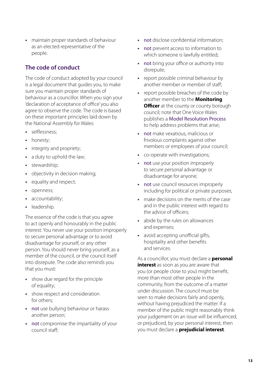**•** maintain proper standards of behaviour as an elected representative of the people.

#### **The code of conduct**

The code of conduct adopted by your council is a legal document that guides you, to make sure you maintain proper standards of behaviour as a councillor. When you sign your 'declaration of acceptance of office' you also agree to observe the code. The code is based on these important principles laid down by the National Assembly for Wales:

- **•** selflessness;
- **•** honesty;
- **•** integrity and propriety;
- **•** a duty to uphold the law;
- **•** stewardship;
- **•** objectivity in decision making;
- **•** equality and respect;
- **•** openness;
- **•** accountability;
- **•** leadership.

The essence of the code is that you agree to act openly and honourably in the public interest. You never use your position improperly to secure personal advantage or to avoid disadvantage for yourself, or any other person. You should never bring yourself, as a member of the council, or the council itself into disrepute. The code also reminds you that you must:

- **•** show due regard for the principle of equality;
- **•** show respect and consideration for others;
- **•** not use bullying behaviour or harass another person;
- **•** not compromise the impartiality of your council staff;
- **•** not disclose confidential information;
- **•** not prevent access to information to which someone is lawfully entitled;
- **•** not bring your office or authority into disrepute;
- **•** report possible criminal behaviour by another member or member of staff;
- <span id="page-12-0"></span>**•** report possible breaches of the code by another member to the **[Monitoring](#page-39-3)  [Officer](#page-39-3)** at the county or county borough council; note that One Voice Wales publishes a Model Resolution Process to help address problems that arise;
- **•** not make vexatious, malicious or frivolous complaints against other members or employees of your council;
- **•** co-operate with investigations;
- **•** not use your position improperly to secure personal advantage or disadvantage for anyone;
- **•** not use council resources improperly including for political or private purposes;
- **•** make decisions on the merits of the case and in the public interest with regard to the advice of officers;
- **•** abide by the rules on allowances and expenses;
- **•** avoid accepting unofficial gifts, hospitality and other benefits and services.

<span id="page-12-2"></span><span id="page-12-1"></span>As a councillor, you must declare a **[personal](#page-40-5)  [interest](#page-40-5)** as soon as you are aware that you (or people close to you) might benefit, more than most other people in the community, from the outcome of a matter under discussion. The council must be seen to make decisions fairly and openly, without having prejudiced the matter. If a member of the public might reasonably think your judgement on an issue will be influenced, or prejudiced, by your personal interest, then you must declare a **[prejudicial interest](#page-40-6)**.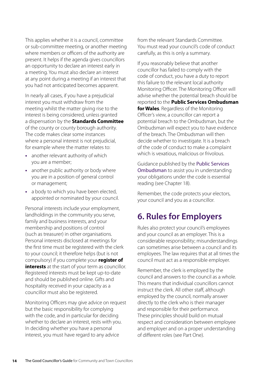This applies whether it is a council, committee or sub-committee meeting, or another meeting where members or officers of the authority are present. It helps if the agenda gives councillors an opportunity to declare an interest early in a meeting. You must also declare an interest at any point during a meeting if an interest that you had not anticipated becomes apparent.

<span id="page-13-3"></span>In nearly all cases, if you have a prejudicial interest you must withdraw from the meeting whilst the matter giving rise to the interest is being considered, unless granted a dispensation by the **[Standards Committee](#page-41-2)** of the county or county borough authority. The code makes clear some instances where a personal interest is not prejudicial, for example where the matter relates to:

- **•** another relevant authority of which you are a member;
- **•** another public authority or body where you are in a position of general control or management;
- **•** a body to which you have been elected, appointed or nominated by your council.

Personal interests include your employment, landholdings in the community you serve, family and business interests, and your membership and positions of control (such as treasurer) in other organisations. Personal interests disclosed at meetings for the first time must be registered with the clerk to your council; it therefore helps (but is not compulsory) if you complete your **[register of](#page-41-3)  [interests](#page-41-3)** at the start of your term as councillor. Registered interests must be kept up-to-date and should be published online. Gifts and hospitality received in your capacity as a councillor must also be registered.

<span id="page-13-2"></span>Monitoring Officers may give advice on request but the basic responsibility for complying with the code, and in particular for deciding whether to declare an interest, rests with you. In deciding whether you have a personal interest, you must have regard to any advice

from the relevant Standards Committee. You must read your council's code of conduct carefully, as this is only a summary.

<span id="page-13-1"></span>If you reasonably believe that another councillor has failed to comply with the code of conduct, you have a duty to report this failure to the relevant local authority Monitoring Officer. The Monitoring Officer will advise whether the potential breach should be reported to the **[Public Services Ombudsman](#page-41-4)  [for Wales](#page-41-4)**. Regardless of the Monitoring Officer's view, a councillor can report a potential breach to the Ombudsman, but the Ombudsman will expect you to have evidence of the breach. The Ombudsman will then decide whether to investigate. It is a breach of the code of conduct to make a complaint which is vexatious, malicious or frivolous.

Guidance published by the Public Services Ombudsman to assist you in understanding your obligations under the code is essential reading (see Chapter 18).

Remember, the code protects your electors, your council and you as a councillor.

## <span id="page-13-0"></span>**[6. Rules for Employers](#page-3-8)**

Rules also protect your council's employees and your council as an employer. This is a considerable responsibility; misunderstandings can sometimes arise between a council and its employees. The law requires that at all times the council must act as a responsible employer.

Remember, the clerk is employed by the council and answers to the council as a whole. This means that individual councillors cannot instruct the clerk. All other staff, although employed by the council, normally answer directly to the clerk who is their manager and responsible for their performance. These principles should build on mutual respect and consideration between employee and employer and on a proper understanding of different roles (see Part One).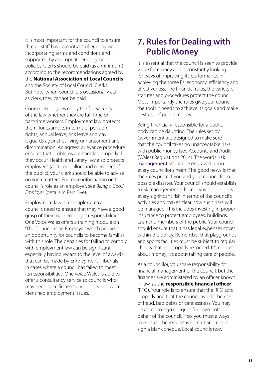It is most important for the council to ensure that all staff have a contract of employment incorporating terms and conditions and supported by appropriate employment policies. Clerks should be paid (as a minimum) according to the recommendations agreed by the **National Association of Local Councils** and the Society of Local Council Clerks. But note, when councillors occasionally act as clerk, they cannot be paid.

<span id="page-14-1"></span>Council employees enjoy the full security of the law whether they are full-time or part-time workers. Employment law protects them, for example, in terms of pension rights, annual leave, sick leave and pay. It guards against bullying or harassment and discrimination. An agreed grievance procedure ensures that problems are handled properly if they occur. Health and Safety law also protects employees (and councillors and members of the public); your clerk should be able to advise on such matters. For more information on the council's role as an employer, see *Being a Good Employer* (details in Part Five).

Employment law is a complex area and councils need to ensure that they have a good grasp of their main employer responsibilities. One Voice Wales offers a training module on 'The Council as an Employer' which provides an opportunity for councils to become familiar with this role. The penalties for failing to comply with employment law can be significant especially having regard to the level of awards that can be made by Employment Tribunals in cases where a council has failed to meet its responsibilities. One Voice Wales is able to offer a consultancy service to councils who may need specific assistance in dealing with identified employment issues.

## <span id="page-14-0"></span>**[7. Rules for Dealing with](#page-3-9)  [Public Money](#page-3-9)**

It is essential that the council is seen to provide value for money and is constantly looking for ways of improving its performance in achieving the three Es: economy, efficiency and effectiveness. The financial rules, the variety of statutes and procedures protect the council. Most importantly the rules give your council the tools it needs to achieve its goals and make best use of public money.

Being financially responsible for a public body can be daunting. The rules set by Government are designed to make sure that the council takes no unacceptable risks with public money (see Accounts and Audit (Wales) Regulations 2014). The words risk management should be engraved upon every councillor's heart. The good news is that the rules protect you and your council from possible disaster. Your council should establish a risk management scheme which highlights every significant risk in terms of the council's activities and makes clear how such risks will be managed. This includes investing in proper insurance to protect employees, buildings, cash and members of the public. Your council should ensure that it has legal expenses cover within the policy. Remember that playgrounds and sports facilities must be subject to regular checks that are properly recorded. It's not just about money, it's about taking care of people.

<span id="page-14-2"></span>As a councillor, you share responsibility for financial management of the council, but the finances are administered by an officer known, in law, as the **[responsible financial officer](#page-41-5)** (RFO). Your role is to ensure that the RFO acts properly and that the council avoids the risk of fraud, bad debts or carelessness. You may be asked to sign cheques for payments on behalf of the council, if so, you must always make sure the request is correct and never sign a blank cheque. Local councils now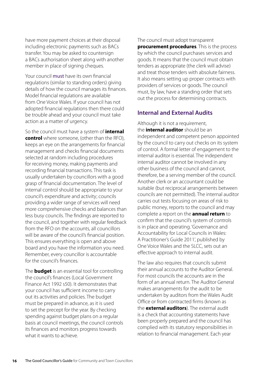have more payment choices at their disposal including electronic payments such as BACs transfer. You may be asked to countersign a BACs authorisation sheet along with another member in place of signing cheques.

Your council must have its own financial regulations (similar to standing orders) giving details of how the council manages its finances. Model financial regulations are available from One Voice Wales. If your council has not adopted financial regulations then there could be trouble ahead and your council must take action as a matter of urgency.

So the council must have a system of **[internal](#page-39-4)  [control](#page-39-4)** where someone, (other than the RFO), keeps an eye on the arrangements for financial management and checks financial documents selected at random including procedures for receiving money, making payments and recording financial transactions. This task is usually undertaken by councillors with a good grasp of financial documentation. The level of internal control should be appropriate to your council's expenditure and activity; councils providing a wider range of services will need more comprehensive checks and balances than less busy councils. The findings are reported to the council, and together with regular feedback from the RFO on the accounts, all councillors will be aware of the council's financial position. This ensures everything is open and above board and you have the information you need. Remember, every councillor is accountable for the council's finances.

<span id="page-15-1"></span>The **[budget](#page-38-5)** is an essential tool for controlling the council's finances (Local Government Finance Act 1992 s50). It demonstrates that your council has sufficient income to carry out its activities and policies. The budget must be prepared in advance, as it is used to set the precept for the year. By checking spending against budget plans on a regular basis at council meetings, the council controls its finances and monitors progress towards what it wants to achieve.

<span id="page-15-3"></span>The council must adopt transparent **[procurement procedures](#page-40-7)**. This is the process by which the council purchases services and goods. It means that the council must obtain tenders as appropriate (the clerk will advise) and treat those tenders with absolute fairness. It also means setting up proper contracts with providers of services or goods. The council must, by law, have a standing order that sets out the process for determining contracts.

#### **Internal and External Audits**

<span id="page-15-2"></span>Although it is not a requirement, the **[internal](#page-39-5) auditor** should be an independent and competent person appointed by the council to carry out checks on its system of control. A formal letter of engagement to the internal auditor is essential. The independent internal auditor cannot be involved in any other business of the council and cannot, therefore, be a serving member of the council. Another clerk or an accountant could be suitable (but reciprocal arrangements between councils are not permitted). The internal auditor carries out tests focusing on areas of risk to public money, reports to the council and may complete a report on the **[annual return](#page-38-6)** to confirm that the council's system of controls is in place and operating. 'Governance and Accountability for Local Councils in Wales: A Practitioner's Guide 2011', published by One Voice Wales and the SLCC, sets out an effective approach to internal audit.

<span id="page-15-0"></span>The law also requires that councils submit their annual accounts to the Auditor General. For most councils the accounts are in the form of an annual return. The Auditor General makes arrangements for the audit to be undertaken by auditors from the Wales Audit Office or from contracted firms (known as the **external [auditors](#page-39-6)**). The external audit is a check that accounting statements have been properly prepared and the council has complied with its statutory responsibilities in relation to financial management. Each year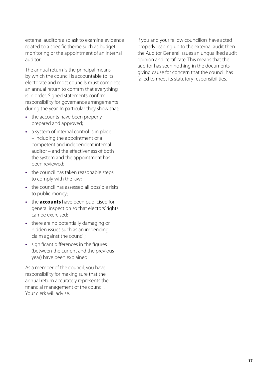external auditors also ask to examine evidence related to a specific theme such as budget monitoring or the appointment of an internal auditor.

The annual return is the principal means by which the council is accountable to its electorate and most councils must complete an annual return to confirm that everything is in order. Signed statements confirm responsibility for governance arrangements during the year. In particular they show that:

- **•** the accounts have been properly prepared and approved;
- **•** a system of internal control is in place – including the appointment of a competent and independent internal auditor – and the effectiveness of both the system and the appointment has been reviewed;
- **•** the council has taken reasonable steps to comply with the law;
- **•** the council has assessed all possible risks to public money;
- <span id="page-16-0"></span>**•** the **[accounts](#page-38-7)** have been publicised for general inspection so that electors' rights can be exercised;
- **•** there are no potentially damaging or hidden issues such as an impending claim against the council;
- **•** significant differences in the figures (between the current and the previous year) have been explained.

As a member of the council, you have responsibility for making sure that the annual return accurately represents the financial management of the council. Your clerk will advise.

If you and your fellow councillors have acted properly leading up to the external audit then the Auditor General issues an unqualified audit opinion and certificate. This means that the auditor has seen nothing in the documents giving cause for concern that the council has failed to meet its statutory responsibilities.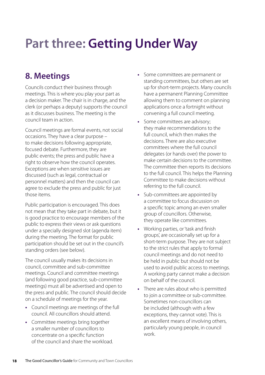## <span id="page-17-0"></span>**[Part three: Getting Under Way](#page-3-11)**

### <span id="page-17-1"></span>**[8. Meetings](#page-3-10)**

Councils conduct their business through meetings. This is where you play your part as a decision maker. The chair is in charge, and the clerk (or perhaps a deputy) supports the council as it discusses business. The meeting is the council team in action.

Council meetings are formal events, not social occasions. They have a clear purpose – to make decisions following appropriate, focused debate. Furthermore, they are public events; the press and public have a right to observe how the council operates. Exceptions are when sensitive issues are discussed (such as legal, contractual or personnel matters) and then the council can agree to exclude the press and public for just those items.

Public participation is encouraged. This does not mean that they take part in debate, but it is good practice to encourage members of the public to express their views or ask questions under a specially designed slot (agenda item) during the meeting. The format for public participation should be set out in the council's standing orders (see below).

The council usually makes its decisions in council, committee and sub-committee meetings. Council and committee meetings (and following good practice, sub-committee meetings) must all be advertised and open to the press and public. The council should decide on a schedule of meetings for the year.

- **•** Council meetings are meetings of the full council. All councillors should attend.
- **•** Committee meetings bring together a smaller number of councillors to concentrate on a specific function of the council and share the workload.
- **•** Some committees are permanent or standing committees, but others are set up for short-term projects. Many councils have a permanent Planning Committee allowing them to comment on planning applications once a fortnight without convening a full council meeting.
- **•** Some committees are advisory; they make recommendations to the full council, which then makes the decisions. There are also executive committees where the full council delegates (or hands over) the power to make certain decisions to the committee. The committee then reports its decisions to the full council. This helps the Planning Committee to make decisions without referring to the full council.
- **•** Sub-committees are appointed by a committee to focus discussion on a specific topic among an even smaller group of councillors. Otherwise, they operate like committees.
- **•** Working parties, or 'task and finish groups', are occasionally set up for a short-term purpose. They are not subject to the strict rules that apply to formal council meetings and do not need to be held in public but should not be used to avoid public access to meetings. A working party cannot make a decision on behalf of the council.
- **•** There are rules about who is permitted to join a committee or sub-committee. Sometimes non-councillors can be included (although with a few exceptions, they cannot vote). This is an excellent means of involving others, particularly young people, in council work.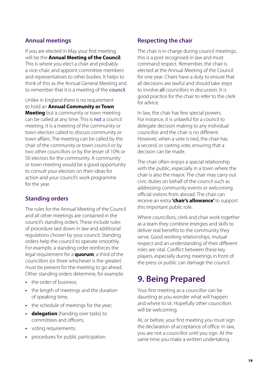#### **Annual meetings**

<span id="page-18-2"></span>If you are elected in May your first meeting will be the **Annual Meeting of the Council**. This is where you elect a chair and probably a vice-chair, and appoint committee members and representatives to other bodies. It helps to think of this as the Annual General Meeting and to remember that it is a meeting of the council.

<span id="page-18-1"></span>Unlike in England there is no requirement to hold an **Annual Community or Town Meeting** but a community or town meeting can be called at any time. This is not a council meeting. It is a meeting of the community or town electors called to discuss community or town affairs. The meeting can be called by the chair of the community or town council or by two other councillors or by the lesser of 10% or 50 electors for the community. A community or town meeting would be a good opportunity to consult your electors on their ideas for action and your council's work programme for the year.

#### **Standing orders**

The rules for the Annual Meeting of the Council and all other meetings are contained in the council's standing orders. These include rules of procedure laid down in law and additional regulations chosen by your council. Standing orders help the council to operate smoothly. For example, a standing order reinforces the legal requirement for a **[quorum](#page-41-6)**; a third of the councillors (or three whichever is the greater) must be present for the meeting to go ahead. Other standing orders determine, for example:

- <span id="page-18-4"></span>**•** the order of business;
- **•** the length of meetings and the duration of speaking time;
- **•** the schedule of meetings for the year;
- <span id="page-18-3"></span>**• [delegation](#page-39-7)** (handing over tasks) to committees and officers;
- **•** voting requirements;
- **•** procedures for public participation.

#### **Respecting the chair**

The chair is in charge during council meetings; this is a post recognised in law and must command respect. Remember, the chair is elected at the Annual Meeting of the Council for one year. Chairs have a duty to ensure that all decisions are lawful and should take steps to involve all councillors in discussion. It is good practice for the chair to refer to the clerk for advice.

In law, the chair has few special powers. For instance, it is unlawful for a council to delegate decision making to any individual councillor and the chair is no different. However, when a vote is tied, the chair has a second, or casting vote, ensuring that a decision can be made.

The chair often enjoys a special relationship with the public, especially in a town where the chair is also the mayor. The chair may carry out civic duties on behalf of the council such as addressing community events or welcoming official visitors from abroad. The chair can receive an extra **'chair's allowance'** to support this important public role.

Where councillors, clerk and chair work together as a team they combine energies and skills to deliver real benefits to the community they serve. Good working relationships, mutual respect and an understanding of their different roles are vital. Conflict between these key players, especially during meetings in front of the press or public can damage the council.

### <span id="page-18-0"></span>**[9. Being Prepared](#page-3-12)**

Your first meeting as a councillor can be daunting as you wonder what will happen and where to sit. Hopefully other councillors will be welcoming.

At, or before, your first meeting you must sign the declaration of acceptance of office. In law, you are not a councillor until you sign. At the same time you make a written undertaking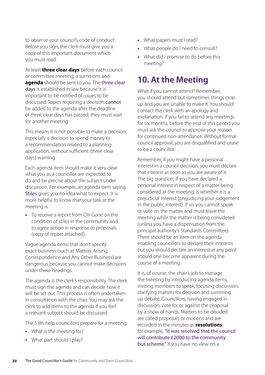to observe your council's code of conduct. Before you sign, the clerk must give you a copy of this important document which you must read.

<span id="page-19-3"></span><span id="page-19-1"></span>At least **[three clear days](#page-42-0)** before each council or committee meeting, a summons and **[agenda](#page-38-8)** should be sent to you. The three clear days is established in law because it is important to be notified of issues to be discussed. Topics requiring a decision cannot be added to the agenda after the deadline of three clear days has passed; they must wait for another meeting.

This means it is not possible to make a decision, especially a decision to spend money or a recommendation related to a planning application, without sufficient (three clear days) warning.

Each agenda item should make it very clear what you as a councillor are expected to do and be precise about the subject under discussion. For example, an agenda item saying Stiles gives you no idea what to expect. It is more helpful to know that your task at the meeting is:

**•** To receive a report from Cllr Gorie on the condition of stiles in the community and to agree action in response to proposals (copy of report attached).

Vague agenda items that don't specify exact business (such as Matters Arising, Correspondence and Any Other Business) are dangerous because you cannot make decisions under these headings.

The agenda is the clerk's responsibility. The clerk must sign the agenda and can decide how it will be set out. This process is often undertaken in consultation with the chair. You may ask the clerk to add items to the agenda if you feel a relevant subject should be discussed.

The 5 Ws help councillors prepare for a meeting.

- **•** What is the meeting for?
- **•** What part should I play?
- **•** What papers must I read?
- **•** What people do I need to consult?
- **•** What did I promise to do before this meeting?

## <span id="page-19-0"></span>**[10. At the Meeting](#page-3-13)**

What if you cannot attend? Remember, you should attend but sometimes things crop up and you are unable to make it. You should contact the clerk with an apology and explanation. If you fail to attend any meetings for six months, before the end of this period you must ask the council to approve your reason for continued non-attendance. Without formal council approval, you are disqualified and cease to be a councillor.

Remember, if you might have a personal interest in a council decision, you must declare that interest as soon as you are aware of it. The big question, if you have declared a personal interest in respect of a matter being considered at the meeting, is whether it is a prejudicial interest (prejudicing your judgement in the public interest). If so, you cannot speak or vote on the matter and must leave the meeting while the matter is being considered (unless you have a dispensation from the principal authority's Standards Committee). There should be an item on the agenda enabling councillors to declare their interests but you should declare an interest at any point should one become apparent during the course of a meeting.

<span id="page-19-2"></span>It is, of course, the chair's job to manage the meeting by introducing agenda items, inviting members to speak, focusing discussion, clarifying matters for decision and summing up debate. Councillors, having engaged in discussion, vote for or against the proposal by a show of hands. Matters to be decided are called proposals or motions and are recorded in the minutes as **[resolutions](#page-41-7)**; for example, "It was resolved that the council will contribute £2000 to the community bus scheme." If you have no view on a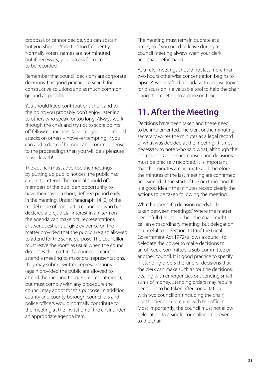proposal, or cannot decide, you can abstain, but you shouldn't do this too frequently. Normally voters' names are not minuted but if necessary, you can ask for names to be recorded.

Remember that council decisions are corporate decisions. It is good practice to search for constructive solutions and as much common ground as possible.

You should keep contributions short and to the point; you probably don't enjoy listening to others who speak for too long. Always work through the chair and try not to score points off fellow councillors. Never engage in personal attacks on others – however tempting. If you can add a dash of humour and common sense to the proceedings then you will be a pleasure to work with!

The council must advertise the meetings by putting up public notices; the public has a right to attend. The council should offer members of the public an opportunity to have their say in a short, defined period early in the meeting. Under Paragraph 14 (2) of the model code of conduct, a councillor who has declared a prejudicial interest in an item on the agenda can make oral representations, answer questions or give evidence on the matter provided that the public are also allowed to attend for the same purpose. The councillor must leave the room as usual when the council discusses the matter. If a councillor cannot attend a meeting to make oral representations, they may submit written representations (again provided the public are allowed to attend the meeting to make representations), but must comply with any procedure the council may adopt for this purpose. In addition, county and county borough councillors and police officers would normally contribute to the meeting at the invitation of the chair under an appropriate agenda item.

The meeting must remain quorate at all times, so if you need to leave during a council meeting always warn your clerk and chair beforehand.

As a rule, meetings should not last more than two hours otherwise concentration begins to lapse. A well-crafted agenda with precise topics for discussion is a valuable tool to help the chair bring the meeting to a close on time.

## <span id="page-20-0"></span>**[11. After the Meeting](#page-3-14)**

Decisions have been taken and these need to be implemented. The clerk or the minuting secretary writes the minutes as a legal record of what was decided at the meeting. It is not necessary to note who said what, although the discussion can be summarised and decisions must be precisely recorded. It is important that the minutes are accurate and therefore the minutes of the last meeting are confirmed and signed at the start of the next meeting. It is a good idea if the minutes record clearly the actions to be taken following the meeting.

What happens if a decision needs to be taken between meetings? Where the matter needs full discussion then the chair might call an extraordinary meeting, but delegation is a useful tool. Section 101 (of the Local Government Act 1972) allows a council to delegate the power to make decisions to an officer, a committee, a sub-committee or another council. It is good practice to specify in standing orders the kind of decisions that the clerk can make such as routine decisions, dealing with emergencies or spending small sums of money. Standing orders may require decisions to be taken after consultation with two councillors (including the chair) but the decision remains with the officer. Most importantly, the council must not allow delegation to a single councillor – not even to the chair.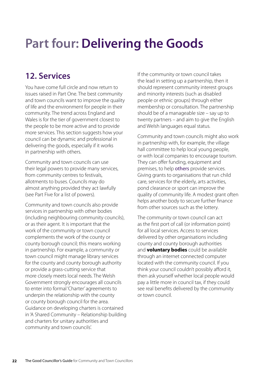## <span id="page-21-0"></span>**[Part four: Delivering the Goods](#page-3-16)**

## <span id="page-21-1"></span>**[12. Services](#page-3-15)**

You have come full circle and now return to issues raised in Part One. The best community and town councils want to improve the quality of life and the environment for people in their community. The trend across England and Wales is for the tier of government closest to the people to be more active and to provide more services. This section suggests how your council can be dynamic and professional in delivering the goods, especially if it works in partnership with others.

Community and town councils can use their legal powers to provide many services, from community centres to festivals, allotments to buses. Councils may do almost anything provided they act lawfully (see Part Five for a list of powers).

Community and town councils also provide services in partnership with other bodies (including neighbouring community councils), or as their agent. It is important that the work of the community or town council complements the work of the county or county borough council; this means working in partnership. For example, a community or town council might manage library services for the county and county borough authority or provide a grass-cutting service that more closely meets local needs. The Welsh Government strongly encourages all councils to enter into formal 'Charter' agreements to underpin the relationship with the county or county borough council for the area. Guidance on developing charters is contained in 'A Shared Community – Relationship building and charters for unitary authorities and community and town councils'.

If the community or town council takes the lead in setting up a partnership, then it should represent community interest groups and minority interests (such as disabled people or ethnic groups) through either membership or consultation. The partnership should be of a manageable size – say up to twenty partners – and aim to give the English and Welsh languages equal status.

Community and town councils might also work in partnership with, for example, the village hall committee to help local young people, or with local companies to encourage tourism. They can offer funding, equipment and premises, to help others provide services. Giving grants to organisations that run child care, services for the elderly, arts activities, pond clearance or sport can improve the quality of community life. A modest grant often helps another body to secure further finance from other sources such as the lottery.

<span id="page-21-2"></span>The community or town council can act as the first port of call (or information point) for all local services. Access to services delivered by other organisations including county and county borough authorities and **[voluntary](#page-42-1) bodies** could be available through an internet connected computer located with the community council. If you think your council couldn't possibly afford it, then ask yourself whether local people would pay a little more in council tax, if they could see real benefits delivered by the community or town council.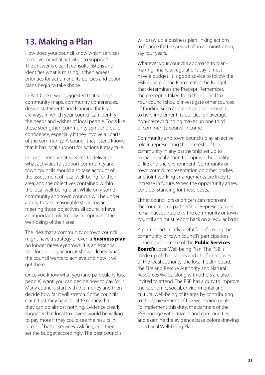## <span id="page-22-0"></span>**[13. M](#page-3-17)aking a Plan**

How does your council know which services to deliver or what activities to support? The answer is clear. It consults, listens and identifies what is missing; it then agrees priorities for action and its policies and action plans begin to take shape.

In Part One it was suggested that surveys, community maps, community conferences, design statements and Planning for Real, are ways in which your council can identify the needs and wishes of local people. Tools like these strengthen community spirit and build confidence, especially if they involve all parts of the community. A council that listens knows that it has local support for actions it may take.

In considering what services to deliver or what activities to support community and town councils should also take account of the assessment of local well-being for their area, and the objectives contained within the local well-being plan. While only some community and town councils will be under a duty to take reasonable steps towards meeting those objectives all councils have an important role to play in improving the well-being of their area.

<span id="page-22-1"></span>The idea that a community or town council might have a strategy or even a **[business plan](#page-38-9)** no longer raises eyebrows. It is an essential tool for guiding action; it shows clearly what the council wants to achieve and how it will get there.

Once you know what you (and particularly local people) want, you can decide how to pay for it. Many councils start with the money and then decide how far it will stretch. Some councils claim that they have so little money that they can do almost nothing. Evidence clearly suggests that local taxpayers would be willing to pay more if they could see the results in terms of better services. Ask first, and then set the budget accordingly. The best councils

will draw up a business plan linking actions to finance for the period of an administration, say four years.

Whatever your council's approach to planmaking, financial regulations say it must have a budget. It is good advice to follow the PBP principle: the Plan creates the Budget that determines the Precept. Remember, the precept is taken from the council tax. Your council should investigate other sources of funding such as grants and sponsorship to help implement its policies; on average non-precept funding makes up one third of community council income.

Community and town councils play an active role in representing the interests of the community in any partnership set up to manage local action to improve the quality of life and the environment. Community or town council representation on other bodies and joint working arrangements are likely to increase in future. When the opportunity arises, consider standing for these posts.

Either councillors or officers can represent the council on a partnership. Representatives remain accountable to the community or town council and must report back on a regular basis.

A plan is particularly useful for informing the community or town council's participation in the development of the **[Public Services](#page-41-8)  [Board's](#page-41-8)** [Local Well-being Plan](#page-39-1). The PSB is made up of the leaders and chief executives of the local authority, the local health board, the Fire and Rescue Authority and Natural Resources Wales; along with others are also invited to attend. The PSB has a duty to improve the economic, social, environmental and cultural well-being of its area by contributing to the achievement of the well-being goals. To implement this duty, the partners of the PSB engage with citizens and communities and examine the evidence base before drawing up a Local Well-being Plan.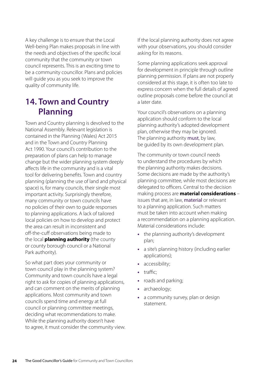A key challenge is to ensure that the Local Well-being Plan makes proposals in line with the needs and objectives of the specific local community that the community or town council represents. This is an exciting time to be a community councillor. Plans and policies will guide you as you seek to improve the quality of community life.

### <span id="page-23-0"></span>**[14. Town and Country](#page-3-18)  [Planning](#page-3-18)**

Town and Country planning is devolved to the National Assembly. Relevant legislation is contained in the Planning (Wales) Act 2015 and in the Town and Country Planning Act 1990. Your council's contribution to the preparation of plans can help to manage change but the wider planning system deeply affects life in the community and is a vital tool for delivering benefits. Town and country planning (planning the use of land and physical space) is, for many councils, their single most important activity. Surprisingly therefore, many community or town councils have no policies of their own to guide responses to planning applications. A lack of tailored local policies on how to develop and protect the area can result in inconsistent and off-the-cuff observations being made to the local **planning [authority](#page-40-8)** (the county or county borough council or a National Park authority).

So what part does your community or town council play in the planning system? Community and town councils have a legal right to ask for copies of planning applications, and can comment on the merits of planning applications. Most community and town councils spend time and energy at full council or planning committee meetings, deciding what recommendations to make. While the planning authority doesn't have to agree, it must consider the community view.

If the local planning authority does not agree with your observations, you should consider asking for its reasons.

Some planning applications seek approval for development in principle through outline planning permission. If plans are not properly considered at this stage, it is often too late to express concern when the full details of agreed outline proposals come before the council at a later date.

Your council's observations on a planning application should conform to the local planning authority's adopted development plan, otherwise they may be ignored. The planning authority must, by law, be guided by its own development plan.

<span id="page-23-1"></span>The community or town council needs to understand the procedures by which the planning authority makes decisions. Some decisions are made by the authority's planning committee, while most decisions are delegated to officers. Central to the decision making process are **[material considerations](#page-39-8)** – issues that are, in law, material or relevant to a planning application. Such matters must be taken into account when making a recommendation on a planning application. Material considerations include:

- **•** the planning authority's development plan;
- **•** a site's planning history (including earlier applications);
- **•** accessibility;
- **•** traffic;
- **•** roads and parking;
- **•** archaeology;
- **•** a community survey, plan or design statement.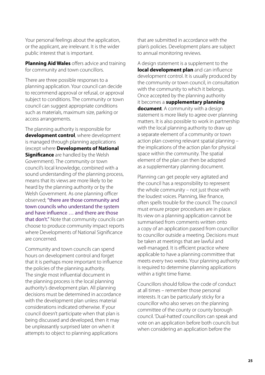Your personal feelings about the application, or the applicant, are irrelevant. It is the wider public interest that is important.

<span id="page-24-3"></span>**[Planning Aid Wales](#page-40-9)** offers advice and training for community and town councillors.

There are three possible responses to a planning application. Your council can decide to recommend approval or refusal, or approval subject to conditions. The community or town council can suggest appropriate conditions such as materials, maximum size, parking or access arrangements.

<span id="page-24-1"></span><span id="page-24-0"></span>The planning authority is responsible for **[development control](#page-39-9)**, where development is managed through planning applications (except where **[Developments of National](#page-39-10)  [Significance](#page-39-10)** are handled by the Welsh Government). The community or town council's local knowledge, combined with a sound understanding of the planning process, means that its views are more likely to be heard by the planning authority or by the Welsh Government. As one planning officer observed; "there are those community and town councils who understand the system and have influence … and there are those that don't." Note that community councils can choose to produce community impact reports where Developments of National Significance are concerned.

Community and town councils can spend hours on development control and forget that it is perhaps more important to influence the policies of the planning authority. The single most influential document in the planning process is the local planning authority's development plan. All planning decisions must be determined in accordance with the development plan unless material considerations indicated otherwise. If your council doesn't participate when that plan is being discussed and developed, then it may be unpleasantly surprised later on when it attempts to object to planning applications

that are submitted in accordance with the plan's policies. Development plans are subject to annual monitoring reviews.

<span id="page-24-4"></span><span id="page-24-2"></span>A design statement is a supplement to the **[local development plan](#page-39-11)** and can influence development control. It is usually produced by the community or town council, in consultation with the community to which it belongs. Once accepted by the planning authority it becomes a **[supplementary planning](#page-42-2)  [document](#page-42-2)**. A community with a design statement is more likely to agree over planning matters. It is also possible to work in partnership with the local planning authority to draw up a separate element of a community or town action plan covering relevant spatial planning – the implications of the action plan for physical space within the community. The spatial element of the plan can then be adopted as a supplementary planning document.

Planning can get people very agitated and the council has a responsibility to represent the whole community – not just those with the loudest voices. Planning, like finance, often spells trouble for the council. The council must ensure proper procedures are in place. Its view on a planning application cannot be summarised from comments written onto a copy of an application passed from councillor to councillor outside a meeting. Decisions must be taken at meetings that are lawful and well-managed. It is efficient practice where applicable to have a planning committee that meets every two weeks. Your planning authority is required to determine planning applications within a tight time frame.

Councillors should follow the code of conduct at all times – remember those personal interests. It can be particularly sticky for a councillor who also serves on the planning committee of the county or county borough council. 'Dual-hatted' councillors can speak and vote on an application before both councils but when considering an application before the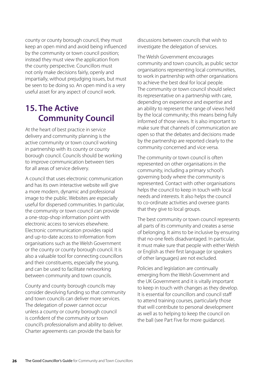county or county borough council, they must keep an open mind and avoid being influenced by the community or town council position; instead they must view the application from the county perspective. Councillors must not only make decisions fairly, openly and impartially, without prejudging issues, but must be seen to be doing so. An open mind is a very useful asset for any aspect of council work.

## <span id="page-25-0"></span>**[15. The Active](#page-3-19)  [Community Council](#page-3-19)**

At the heart of best practice in service delivery and community planning is the active community or town council working in partnership with its county or county borough council. Councils should be working to improve communication between tiers for all areas of service delivery.

A council that uses electronic communication and has its own interactive website will give a more modern, dynamic and professional image to the public. Websites are especially useful for dispersed communities. In particular, the community or town council can provide a one-stop-shop information point with electronic access to services elsewhere. Electronic communication provides rapid and up-to-date access to information from organisations such as the Welsh Government or the county or county borough council. It is also a valuable tool for connecting councillors and their constituents, especially the young, and can be used to facilitate networking between community and town councils.

County and county borough councils may consider devolving funding so that community and town councils can deliver more services. The delegation of power cannot occur unless a county or county borough council is confident of the community or town council's professionalism and ability to deliver. Charter agreements can provide the basis for

discussions between councils that wish to investigate the delegation of services.

The Welsh Government encourages community and town councils, as public sector organisations representing local communities, to work in partnership with other organisations to achieve the best deal for local people. The community or town council should select its representative on a partnership with care, depending on experience and expertise and an ability to represent the range of views held by the local community; this means being fully informed of those views. It is also important to make sure that channels of communication are open so that the debates and decisions made by the partnership are reported clearly to the community concerned and vice versa.

The community or town council is often represented on other organisations in the community, including a primary school's governing body where the community is represented. Contact with other organisations helps the council to keep in touch with local needs and interests. It also helps the council to co-ordinate activities and oversee grants that they give to local groups.

The best community or town council represents all parts of its community and creates a sense of belonging. It aims to be inclusive by ensuring that no-one feels disadvantaged. In particular, it must make sure that people with either Welsh or English as their first language (or speakers of other languages) are not excluded.

Policies and legislation are continually emerging from the Welsh Government and the UK Government and it is vitally important to keep in touch with changes as they develop. It is essential for councillors and council staff to attend training courses, particularly those that will contribute to personal development as well as to helping to keep the council on the ball (see Part Five for more guidance).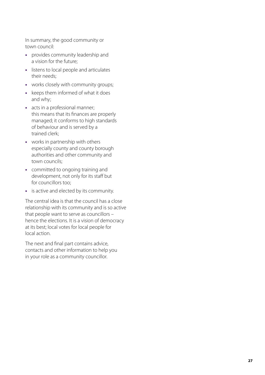In summary, the good community or town council:

- **•** provides community leadership and a vision for the future;
- **•** listens to local people and articulates their needs;
- **•** works closely with community groups;
- **•** keeps them informed of what it does and why;
- **•** acts in a professional manner; this means that its finances are properly managed; it conforms to high standards of behaviour and is served by a trained clerk;
- **•** works in partnership with others especially county and county borough authorities and other community and town councils;
- **•** committed to ongoing training and development, not only for its staff but for councillors too;
- **•** is active and elected by its community.

The central idea is that the council has a close relationship with its community and is so active that people want to serve as councillors – hence the elections. It is a vision of democracy at its best; local votes for local people for local action.

The next and final part contains advice, contacts and other information to help you in your role as a community councillor.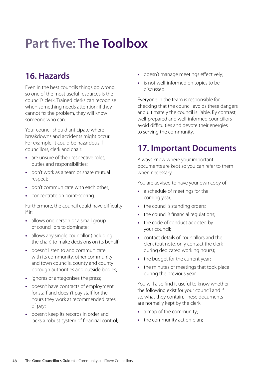## <span id="page-27-0"></span>**[Part five: The Toolbox](#page-3-22)**

## <span id="page-27-1"></span>**[16. Hazards](#page-3-20)**

Even in the best councils things go wrong, so one of the most useful resources is the council's clerk. Trained clerks can recognise when something needs attention; if they cannot fix the problem, they will know someone who can.

Your council should anticipate where breakdowns and accidents might occur. For example, it could be hazardous if councillors, clerk and chair:

- **•** are unsure of their respective roles, duties and responsibilities;
- **•** don't work as a team or share mutual respect;
- **•** don't communicate with each other;
- **•** concentrate on point-scoring.

Furthermore, the council could have difficulty if it:

- **•** allows one person or a small group of councillors to dominate;
- **•** allows any single councillor (including the chair) to make decisions on its behalf;
- **•** doesn't listen to and communicate with its community, other community and town councils, county and county borough authorities and outside bodies;
- **•** ignores or antagonises the press;
- **•** doesn't have contracts of employment for staff and doesn't pay staff for the hours they work at recommended rates of pay;
- **•** doesn't keep its records in order and lacks a robust system of financial control;
- **•** doesn't manage meetings effectively;
- **•** is not well-informed on topics to be discussed.

Everyone in the team is responsible for checking that the council avoids these dangers and ultimately the council is liable. By contrast, well-prepared and well-informed councillors avoid difficulties and devote their energies to serving the community.

### <span id="page-27-2"></span>**[17. Important Documents](#page-3-21)**

Always know where your important documents are kept so you can refer to them when necessary.

You are advised to have your own copy of:

- **•** a schedule of meetings for the coming year;
- the council's standing orders;
- **•** the council's financial regulations;
- **•** the code of conduct adopted by your council;
- **•** contact details of councillors and the clerk (but note, only contact the clerk during dedicated working hours);
- **•** the budget for the current year;
- **•** the minutes of meetings that took place during the previous year.

You will also find it useful to know whether the following exist for your council and if so, what they contain. These documents are normally kept by the clerk:

- **•** a map of the community;
- the community action plan: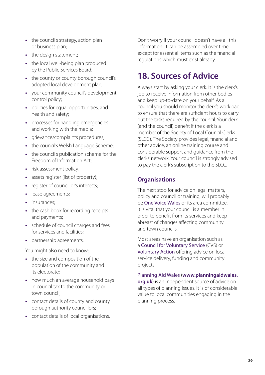- **•** the council's strategy, action plan or business plan;
- the design statement;
- **•** the local well-being plan produced by the Public Services Board;
- **•** the county or county borough council's adopted local development plan;
- **•** your community council's development control policy;
- **•** policies for equal opportunities, and health and safety;
- **•** processes for handling emergencies and working with the media;
- **•** grievance/complaints procedures;
- **•** the council's Welsh Language Scheme;
- **•** the council's publication scheme for the Freedom of Information Act;
- **•** risk assessment policy;
- **•** assets register (list of property);
- **•** register of councillor's interests;
- **•** lease agreements;
- **•** insurances;
- **•** the cash book for recording receipts and payments;
- **•** schedule of council charges and fees for services and facilities;
- **•** partnership agreements.

You might also need to know:

- **•** the size and composition of the population of the community and its electorate;
- **•** how much an average household pays in council tax to the community or town council;
- **•** contact details of county and county borough authority councillors;
- **•** contact details of local organisations.

Don't worry if your council doesn't have all this information. It can be assembled over time – except for essential items such as the financial regulations which must exist already.

### <span id="page-28-0"></span>**[18. Sources of Advice](#page-3-23)**

Always start by asking your clerk. It is the clerk's job to receive information from other bodies and keep up-to-date on your behalf. As a council you should monitor the clerk's workload to ensure that there are sufficient hours to carry out the tasks required by the council. Your clerk (and the council) benefit if the clerk is a member of the Society of Local Council Clerks (SLCC). The Society provides legal, financial and other advice, an online training course and considerable support and guidance from the clerks' network. Your council is strongly advised to pay the clerk's subscription to the SLCC.

#### **Organisations**

The next stop for advice on legal matters, policy and councillor training, will probably be **One Voice Wales** or its area committee. It is vital that your council is a member in order to benefit from its services and keep abreast of changes affecting community and town councils.

Most areas have an organisation such as a Council for Voluntary Service (CVS) or Voluntary Action offering advice on local service delivery, funding and community projects.

Planning Aid Wales (**[www.planningaidwales.](http://www.planningaidwales.org.uk) [org.uk](http://www.planningaidwales.org.uk)**) is an independent source of advice on all types of planning issues. It is of considerable value to local communities engaging in the planning process.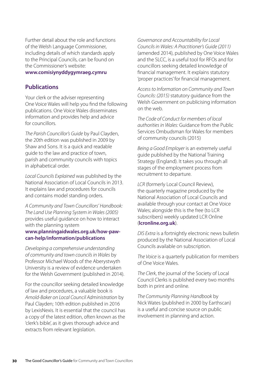Further detail about the role and functions of the Welsh Language Commissioner, including details of which standards apply to the Principal Councils, can be found on the Commissioner's website:

#### **[www.comisiynyddygymraeg.cymru](http://www.comisiynyddygymraeg.cymru)**

#### **Publications**

Your clerk or the adviser representing One Voice Wales will help you find the following publications. One Voice Wales disseminates information and provides help and advice for councillors.

*The Parish Councillor's Guide* by Paul Clayden, the 20th edition was published in 2009 by Shaw and Sons. It is a quick and readable guide to the law and practice of town, parish and community councils with topics in alphabetical order.

*Local Councils Explained* was published by the National Association of Local Councils in 2013. It explains law and procedures for councils and contains model standing orders.

*A Community and Town Councillors' Handbook: The Land Use Planning System in Wales (2005)* provides useful guidance on how to interact with the planning system

#### **[www.planningaidwales.org.uk/how-paw](http://www.planningaidwales.org.uk/how-paw-can-help/information/publications)[can-help/information/publications](http://www.planningaidwales.org.uk/how-paw-can-help/information/publications)**

*Developing a comprehensive understanding of community and town councils in Wales* by Professor Michael Woods of the Aberystwyth University is a review of evidence undertaken for the Welsh Government (published in 2014).

For the councillor seeking detailed knowledge of law and procedures, a valuable book is *Arnold-Baker on Local Council Administration* by Paul Clayden; 10th edition published in 2016 by LexisNexis. It is essential that the council has a copy of the latest edition, often known as the 'clerk's bible', as it gives thorough advice and extracts from relevant legislation.

*Governance and Accountability for Local Councils in Wales: A Practitioner's Guide (2011)* (amended 2014), published by One Voice Wales and the SLCC, is a useful tool for RFOs and for councillors seeking detailed knowledge of financial management. It explains statutory 'proper practices' for financial management.

*Access to Information on Community and Town Councils: (2015)* statutory guidance from the Welsh Government on publicising information on the web.

*The Code of Conduct for members of local authorities in Wales:* Guidance from the Public Services Ombudsman for Wales for members of community councils (2015)

*Being a Good Employer* is an extremely useful guide published by the National Training Strategy (England). It takes you through all stages of the employment process from recruitment to departure.

*LCR* (formerly Local Council Review), the quarterly magazine produced by the National Association of Local Councils and available through your contact at One Voice Wales; alongside this is the free (to LCR subscribers) weekly updated LCR Online (**[lcronline.org.uk](http://lcronline.org.uk)**).

*DIS Extra* is a fortnightly electronic news bulletin produced by the National Association of Local Councils available on subscription.

*The Voice* is a quarterly publication for members of One Voice Wales.

*The Clerk*, the journal of the Society of Local Council Clerks is published every two months both in print and online.

*The Community Planning Handbook* by Nick Wates (published in 2000 by Earthscan) is a useful and concise source on public involvement in planning and action.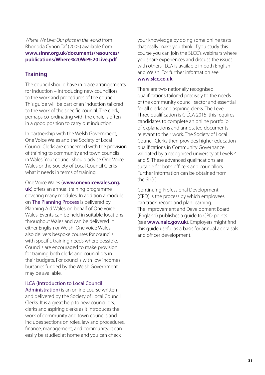*Where We Live: Our place in the world* from Rhondda Cynon Taf (2005) available from **[www.slnnr.org.uk/documents/resources/](http://www.slnnr.org.uk/documents/resources/publications/Where%20We%20Live.pdf) [publications/Where%20We%20Live.pdf](http://www.slnnr.org.uk/documents/resources/publications/Where%20We%20Live.pdf)**

#### **Training**

The council should have in place arrangements for induction – introducing new councillors to the work and procedures of the council. This guide will be part of an induction tailored to the work of the specific council. The clerk, perhaps co-ordinating with the chair, is often in a good position to carry out induction.

In partnership with the Welsh Government, One Voice Wales and the Society of Local Council Clerks are concerned with the provision of training to community and town councils in Wales. Your council should advise One Voice Wales or the Society of Local Council Clerks what it needs in terms of training.

One Voice Wales (**[www.onevoicewales.org.](http://www.onevoicewales.org.uk) [uk](http://www.onevoicewales.org.uk)**) offers an annual training programme covering many modules. In addition a module on The Planning Process is delivered by Planning Aid Wales on behalf of One Voice Wales. Events can be held in suitable locations throughout Wales and can be delivered in either English or Welsh. One Voice Wales also delivers bespoke courses for councils with specific training needs where possible. Councils are encouraged to make provision for training both clerks and councillors in their budgets. For councils with low incomes bursaries funded by the Welsh Government may be available.

#### ILCA (Introduction to Local Council

Administration) is an online course written and delivered by the Society of Local Council Clerks. It is a great help to new councillors, clerks and aspiring clerks as it introduces the work of community and town councils and includes sections on roles, law and procedures, finance, management, and community. It can easily be studied at home and you can check

your knowledge by doing some online tests that really make you think. If you study this course you can join the SLCC's webinars where you share experiences and discuss the issues with others. ILCA is available in both English and Welsh. For further information see **[www.slcc.co.uk](http://www.slcc.co.uk)**.

There are two nationally recognised qualifications tailored precisely to the needs of the community council sector and essential for all clerks and aspiring clerks. The Level Three qualification is CiLCA 2015; this requires candidates to complete an online portfolio of explanations and annotated documents relevant to their work. The Society of Local Council Clerks then provides higher education qualifications in Community Governance validated by a recognised university at Levels 4 and 5. These advanced qualifications are suitable for both officers and councillors. Further information can be obtained from the  $SICC$ 

Continuing Professional Development (CPD) is the process by which employees can track, record and plan learning. The Improvement and Development Board (England) publishes a guide to CPD points (see **[www.nalc.gov.uk](http://www.nalc.gov.uk)**). Employers might find this guide useful as a basis for annual appraisals and officer development.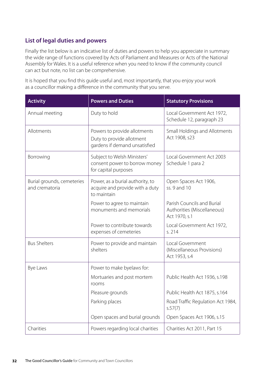#### **List of legal duties and powers**

Finally the list below is an indicative list of duties and powers to help you appreciate in summary the wide range of functions covered by Acts of Parliament and Measures or Acts of the National Assembly for Wales. It is a useful reference when you need to know if the community council can act but note, no list can be comprehensive.

It is hoped that you find this guide useful and, most importantly, that you enjoy your work as a councillor making a difference in the community that you serve.

| <b>Activity</b>                              | <b>Powers and Duties</b>                                                                   | <b>Statutory Provisions</b>                                                |
|----------------------------------------------|--------------------------------------------------------------------------------------------|----------------------------------------------------------------------------|
| Annual meeting                               | Duty to hold                                                                               | Local Government Act 1972,<br>Schedule 12, paragraph 23                    |
| Allotments                                   | Powers to provide allotments<br>Duty to provide allotment<br>gardens if demand unsatisfied | Small Holdings and Allotments<br>Act 1908, s23                             |
| Borrowing                                    | Subject to Welsh Ministers'<br>consent power to borrow money<br>for capital purposes       | Local Government Act 2003<br>Schedule 1 para 2                             |
| Burial grounds, cemeteries<br>and crematoria | Power, as a burial authority, to<br>acquire and provide with a duty<br>to maintain         | Open Spaces Act 1906,<br>ss. 9 and 10                                      |
|                                              | Power to agree to maintain<br>monuments and memorials                                      | Parish Councils and Burial<br>Authorities (Miscellaneous)<br>Act 1970, s.1 |
|                                              | Power to contribute towards<br>expenses of cemeteries                                      | Local Government Act 1972,<br>s. 214                                       |
| <b>Bus Shelters</b>                          | Power to provide and maintain<br>shelters                                                  | Local Government<br>(Miscellaneous Provisions)<br>Act 1953, s.4            |
| Bye Laws                                     | Power to make byelaws for:                                                                 |                                                                            |
|                                              | Mortuaries and post mortem<br>rooms                                                        | Public Health Act 1936, s.198                                              |
|                                              | Pleasure grounds                                                                           | Public Health Act 1875, s.164                                              |
|                                              | Parking places                                                                             | Road Traffic Regulation Act 1984,<br>s.57(7)                               |
|                                              | Open spaces and burial grounds                                                             | Open Spaces Act 1906, s.15                                                 |
| Charities                                    | Powers regarding local charities                                                           | Charities Act 2011, Part 15                                                |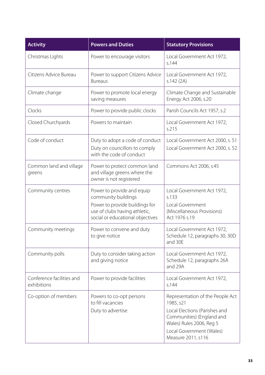| <b>Activity</b>                          | <b>Powers and Duties</b>                                                                                                                                 | <b>Statutory Provisions</b>                                                                                                                                                               |
|------------------------------------------|----------------------------------------------------------------------------------------------------------------------------------------------------------|-------------------------------------------------------------------------------------------------------------------------------------------------------------------------------------------|
| Christmas Lights                         | Power to encourage visitors                                                                                                                              | Local Government Act 1972,<br>s.144                                                                                                                                                       |
| Citizens Advice Bureau                   | Power to support Citizens Advice<br><b>Bureaus</b>                                                                                                       | Local Government Act 1972,<br>s.142(2A)                                                                                                                                                   |
| Climate change                           | Power to promote local energy<br>saving measures                                                                                                         | Climate Change and Sustainable<br>Energy Act 2006, s.20                                                                                                                                   |
| Clocks                                   | Power to provide public clocks                                                                                                                           | Parish Councils Act 1957, s.2                                                                                                                                                             |
| Closed Churchyards                       | Powers to maintain                                                                                                                                       | Local Government Act 1972,<br>s.215                                                                                                                                                       |
| Code of conduct                          | Duty to adopt a code of conduct<br>Duty on councillors to comply<br>with the code of conduct                                                             | Local Government Act 2000, s. 51<br>Local Government Act 2000, s. 52                                                                                                                      |
| Common land and village<br>greens        | Power to protect common land<br>and village greens where the<br>owner is not registered                                                                  | Commons Act 2006, s.45                                                                                                                                                                    |
| Community centres                        | Power to provide and equip<br>community buildings<br>Power to provide buildings for<br>use of clubs having athletic,<br>social or educational objectives | Local Government Act 1972,<br>s.133<br>Local Government<br>(Miscellaneous Provisions)<br>Act 1976 s.19                                                                                    |
| Community meetings                       | Power to convene and duty<br>to give notice                                                                                                              | Local Government Act 1972,<br>Schedule 12, paragraphs 30, 30D<br>and 30E                                                                                                                  |
| Community polls                          | Duty to consider taking action<br>and giving notice                                                                                                      | Local Government Act 1972,<br>Schedule 12, paragraphs 26A<br>and 29A                                                                                                                      |
| Conference facilities and<br>exhibitions | Power to provide facilities                                                                                                                              | Local Government Act 1972,<br>s.144                                                                                                                                                       |
| Co-option of members                     | Powers to co-opt persons<br>to fill vacancies<br>Duty to advertise                                                                                       | Representation of the People Act<br>1985, s21<br>Local Elections (Parishes and<br>Communities) (England and<br>Wales) Rules 2006, Reg 5<br>Local Government (Wales)<br>Measure 2011, s116 |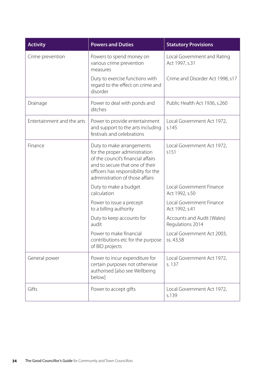| <b>Activity</b>            | <b>Powers and Duties</b>                                                                                                                                                                                      | <b>Statutory Provisions</b>                    |
|----------------------------|---------------------------------------------------------------------------------------------------------------------------------------------------------------------------------------------------------------|------------------------------------------------|
| Crime prevention           | Powers to spend money on<br>various crime prevention<br>measures                                                                                                                                              | Local Government and Rating<br>Act 1997, s.31  |
|                            | Duty to exercise functions with<br>regard to the effect on crime and<br>disorder                                                                                                                              | Crime and Disorder Act 1998, s17               |
| Drainage                   | Power to deal with ponds and<br>ditches                                                                                                                                                                       | Public Health Act 1936, s.260                  |
| Entertainment and the arts | Power to provide entertainment<br>and support to the arts including<br>festivals and celebrations                                                                                                             | Local Government Act 1972,<br>s.145            |
| Finance                    | Duty to make arrangements<br>for the proper administration<br>of the council's financial affairs<br>and to secure that one of their<br>officers has responsibility for the<br>administration of those affairs | Local Government Act 1972,<br>s151             |
|                            | Duty to make a budget<br>calculation                                                                                                                                                                          | Local Government Finance<br>Act 1992, s.50     |
|                            | Power to issue a precept<br>to a billing authority                                                                                                                                                            | Local Government Finance<br>Act 1992, s.41     |
|                            | Duty to keep accounts for<br>audit                                                                                                                                                                            | Accounts and Audit (Wales)<br>Regulations 2014 |
|                            | Power to make financial<br>contributions etc for the purpose<br>of BID projects                                                                                                                               | Local Government Act 2003,<br>ss. 43,58        |
| General power              | Power to incur expenditure for<br>certain purposes not otherwise<br>authorised [also see Wellbeing<br>below]                                                                                                  | Local Government Act 1972,<br>s. 137           |
| Gifts                      | Power to accept gifts                                                                                                                                                                                         | Local Government Act 1972,<br>s.139            |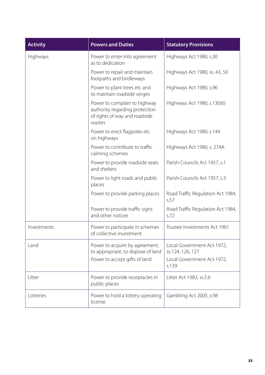| <b>Activity</b> | <b>Powers and Duties</b>                                                                                  | <b>Statutory Provisions</b>                                                           |
|-----------------|-----------------------------------------------------------------------------------------------------------|---------------------------------------------------------------------------------------|
| Highways        | Power to enter into agreement<br>as to dedication                                                         | Highways Act 1980, s.30                                                               |
|                 | Power to repair and maintain<br>footpaths and bridleways                                                  | Highways Act 1980, ss. 43, 50                                                         |
|                 | Power to plant trees etc and<br>to maintain roadside verges                                               | Highways Act 1980, s.96                                                               |
|                 | Power to complain to highway<br>authority regarding protection<br>of rights of way and roadside<br>wastes | Highways Act 1980, s.130(6)                                                           |
|                 | Power to erect flagpoles etc<br>on highways                                                               | Highways Act 1980, s.144                                                              |
|                 | Power to contribute to traffic<br>calming schemes                                                         | Highways Act 1980, s. 274A                                                            |
|                 | Power to provide roadside seats<br>and shelters                                                           | Parish Councils Act 1957, s.1                                                         |
|                 | Power to light roads and public<br>places                                                                 | Parish Councils Act 1957, s.3                                                         |
|                 | Power to provide parking places                                                                           | Road Traffic Regulation Act 1984,<br>s.57                                             |
|                 | Power to provide traffic signs<br>and other notices                                                       | Road Traffic Regulation Act 1984,<br>s.72                                             |
| Investments     | Power to participate in schemes<br>of collective investment                                               | Trustee Investments Act 1961                                                          |
| Land            | Power to acquire by agreement,<br>to appropriate, to dispose of land<br>Power to accept gifts of land     | Local Government Act 1972,<br>ss.124, 126, 127<br>Local Government Act 1972,<br>s.139 |
| Litter          | Power to provide receptacles in<br>public places                                                          | Litter Act 1983, ss.5.6                                                               |
| Lotteries       | Power to hold a lottery operating<br>license                                                              | Gambling Act 2005, s.98                                                               |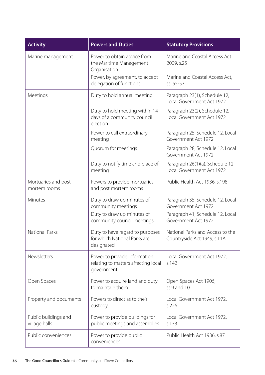| <b>Activity</b>                       | <b>Powers and Duties</b>                                                                                     | <b>Statutory Provisions</b>                                                                                        |
|---------------------------------------|--------------------------------------------------------------------------------------------------------------|--------------------------------------------------------------------------------------------------------------------|
| Marine management                     | Power to obtain advice from<br>the Maritime Management<br>Organisation                                       | Marine and Coastal Access Act<br>2009, s.25                                                                        |
|                                       | Power, by agreement, to accept<br>delegation of functions                                                    | Marine and Coastal Access Act,<br>ss. 55-57                                                                        |
| Meetings                              | Duty to hold annual meeting                                                                                  | Paragraph 23(1), Schedule 12,<br>Local Government Act 1972                                                         |
|                                       | Duty to hold meeting within 14<br>days of a community council<br>election                                    | Paragraph 23(2), Schedule 12,<br>Local Government Act 1972                                                         |
|                                       | Power to call extraordinary<br>meeting                                                                       | Paragraph 25, Schedule 12, Local<br>Government Act 1972                                                            |
|                                       | Quorum for meetings                                                                                          | Paragraph 28, Schedule 12, Local<br>Government Act 1972                                                            |
|                                       | Duty to notify time and place of<br>meeting                                                                  | Paragraph 26(1)(a), Schedule 12,<br>Local Government Act 1972                                                      |
| Mortuaries and post<br>mortem rooms   | Powers to provide mortuaries<br>and post mortem rooms                                                        | Public Health Act 1936, s.198                                                                                      |
| Minutes                               | Duty to draw up minutes of<br>community meetings<br>Duty to draw up minutes of<br>community council meetings | Paragraph 35, Schedule 12, Local<br>Government Act 1972<br>Paragraph 41, Schedule 12, Local<br>Government Act 1972 |
| <b>National Parks</b>                 | Duty to have regard to purposes<br>for which National Parks are<br>designated                                | National Parks and Access to the<br>Countryside Act 1949, s.11A                                                    |
| Newsletters                           | Power to provide information<br>relating to matters affecting local<br>government                            | Local Government Act 1972,<br>s.142                                                                                |
| Open Spaces                           | Power to acquire land and duty<br>to maintain them                                                           | Open Spaces Act 1906,<br>ss.9 and 10                                                                               |
| Property and documents                | Powers to direct as to their<br>custody                                                                      | Local Government Act 1972,<br>s.226                                                                                |
| Public buildings and<br>village halls | Power to provide buildings for<br>public meetings and assemblies                                             | Local Government Act 1972,<br>s.133                                                                                |
| Public conveniences                   | Power to provide public<br>conveniences                                                                      | Public Health Act 1936, s.87                                                                                       |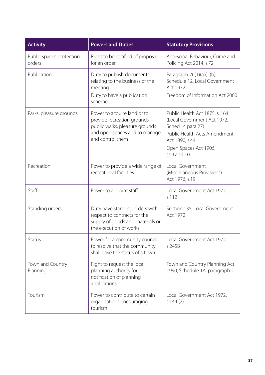| <b>Activity</b>                    | <b>Powers and Duties</b>                                                                                                                          | <b>Statutory Provisions</b>                                                                                                                                                   |
|------------------------------------|---------------------------------------------------------------------------------------------------------------------------------------------------|-------------------------------------------------------------------------------------------------------------------------------------------------------------------------------|
| Public spaces protection<br>orders | Right to be notified of proposal<br>for an order                                                                                                  | Anti-social Behaviour, Crime and<br>Policing Act 2014, s.72                                                                                                                   |
| Publication                        | Duty to publish documents<br>relating to the business of the<br>meeting<br>Duty to have a publication<br>scheme                                   | Paragraph 26(1)(aa), (b),<br>Schedule 12, Local Government<br><b>Act 1972</b><br>Freedom of Information Act 2000                                                              |
| Parks, pleasure grounds            | Power to acquire land or to<br>provide recreation grounds,<br>public walks, pleasure grounds<br>and open spaces and to manage<br>and control them | Public Health Act 1875, s., 164<br>(Local Government Act 1972,<br>Sched.14 para 27)<br>Public Health Acts Amendment<br>Act 1890, s.44<br>Open Spaces Act 1906,<br>ss.9 and 10 |
| Recreation                         | Power to provide a wide range of<br>recreational facilities                                                                                       | Local Government<br>(Miscellaneous Provisions)<br>Act 1976, s.19                                                                                                              |
| Staff                              | Power to appoint staff                                                                                                                            | Local Government Act 1972,<br>s.112                                                                                                                                           |
| Standing orders                    | Duty have standing orders with<br>respect to contracts for the<br>supply of goods and materials or<br>the execution of works                      | Section 135, Local Government<br><b>Act 1972</b>                                                                                                                              |
| Status                             | Power for a community council<br>to resolve that the community<br>shall have the status of a town                                                 | Local Government Act 1972,<br>s.245B                                                                                                                                          |
| Town and Country<br>Planning       | Right to request the local<br>planning authority for<br>notification of planning<br>applications                                                  | Town and Country Planning Act<br>1990, Schedule 1A, paragraph 2                                                                                                               |
| Tourism                            | Power to contribute to certain<br>organisations encouraging<br>tourism                                                                            | Local Government Act 1972,<br>s.144(2)                                                                                                                                        |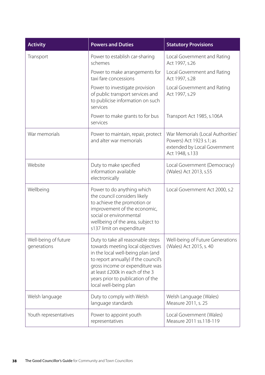| <b>Activity</b>                     | <b>Powers and Duties</b>                                                                                                                                                                                                                                                               | <b>Statutory Provisions</b>                                                                                      |
|-------------------------------------|----------------------------------------------------------------------------------------------------------------------------------------------------------------------------------------------------------------------------------------------------------------------------------------|------------------------------------------------------------------------------------------------------------------|
| Transport                           | Power to establish car-sharing<br>schemes                                                                                                                                                                                                                                              | Local Government and Rating<br>Act 1997, s.26                                                                    |
|                                     | Power to make arrangements for<br>taxi fare concessions                                                                                                                                                                                                                                | Local Government and Rating<br>Act 1997, s.28                                                                    |
|                                     | Power to investigate provision<br>of public transport services and<br>to publicise information on such<br>services                                                                                                                                                                     | Local Government and Rating<br>Act 1997, s.29                                                                    |
|                                     | Power to make grants to for bus<br>services                                                                                                                                                                                                                                            | Transport Act 1985, s.106A                                                                                       |
| War memorials                       | Power to maintain, repair, protect<br>and alter war memorials                                                                                                                                                                                                                          | War Memorials (Local Authorities'<br>Powers) Act 1923 s.1; as<br>extended by Local Government<br>Act 1948, s.133 |
| Website                             | Duty to make specified<br>information available<br>electronically                                                                                                                                                                                                                      | Local Government (Democracy)<br>(Wales) Act 2013, s.55                                                           |
| Wellbeing                           | Power to do anything which<br>the council considers likely<br>to achieve the promotion or<br>improvement of the economic,<br>social or environmental<br>wellbeing of the area, subject to<br>s137 limit on expenditure                                                                 | Local Government Act 2000, s.2                                                                                   |
| Well-being of future<br>generations | Duty to take all reasonable steps<br>towards meeting local objectives<br>in the local well-being plan (and<br>to report annually) if the council's<br>gross income or expenditure was<br>at least £200k in each of the 3<br>years prior to publication of the<br>local well-being plan | Well-being of Future Generations<br>(Wales) Act 2015, s. 40                                                      |
| Welsh language                      | Duty to comply with Welsh<br>language standards                                                                                                                                                                                                                                        | Welsh Language (Wales)<br>Measure 2011, s. 25                                                                    |
| Youth representatives               | Power to appoint youth<br>representatives                                                                                                                                                                                                                                              | Local Government (Wales)<br>Measure 2011 ss.118-119                                                              |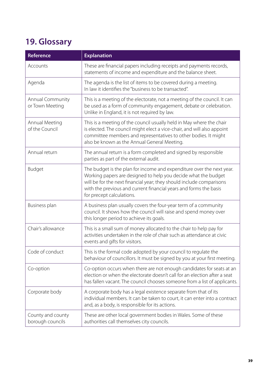## <span id="page-38-0"></span>**[19. Glossary](#page-3-24)**

<span id="page-38-9"></span><span id="page-38-8"></span><span id="page-38-7"></span><span id="page-38-6"></span><span id="page-38-5"></span><span id="page-38-4"></span><span id="page-38-3"></span><span id="page-38-2"></span><span id="page-38-1"></span>

| <b>Reference</b>                      | <b>Explanation</b>                                                                                                                                                                                                                                                                                                |
|---------------------------------------|-------------------------------------------------------------------------------------------------------------------------------------------------------------------------------------------------------------------------------------------------------------------------------------------------------------------|
| Accounts                              | These are financial papers including receipts and payments records,<br>statements of income and expenditure and the balance sheet.                                                                                                                                                                                |
| Agenda                                | The agenda is the list of items to be covered during a meeting.<br>In law it identifies the "business to be transacted".                                                                                                                                                                                          |
| Annual Community<br>or Town Meeting   | This is a meeting of the electorate, not a meeting of the council. It can<br>be used as a form of community engagement, debate or celebration.<br>Unlike in England, it is not required by law.                                                                                                                   |
| Annual Meeting<br>of the Council      | This is a meeting of the council usually held in May where the chair<br>is elected. The council might elect a vice-chair, and will also appoint<br>committee members and representatives to other bodies. It might<br>also be known as the Annual General Meeting.                                                |
| Annual return                         | The annual return is a form completed and signed by responsible<br>parties as part of the external audit.                                                                                                                                                                                                         |
| <b>Budget</b>                         | The budget is the plan for income and expenditure over the next year.<br>Working papers are designed to help you decide what the budget<br>will be for the next financial year; they should include comparisons<br>with the previous and current financial years and forms the basis<br>for precept calculations. |
| Business plan                         | A business plan usually covers the four-year term of a community<br>council. It shows how the council will raise and spend money over<br>this longer period to achieve its goals.                                                                                                                                 |
| Chair's allowance                     | This is a small sum of money allocated to the chair to help pay for<br>activities undertaken in the role of chair such as attendance at civic<br>events and gifts for visitors.                                                                                                                                   |
| Code of conduct                       | This is the formal code adopted by your council to regulate the<br>behaviour of councillors. It must be signed by you at your first meeting.                                                                                                                                                                      |
| Co-option                             | Co-option occurs when there are not enough candidates for seats at an<br>election or when the electorate doesn't call for an election after a seat<br>has fallen vacant. The council chooses someone from a list of applicants.                                                                                   |
| Corporate body                        | A corporate body has a legal existence separate from that of its<br>individual members. It can be taken to court, it can enter into a contract<br>and, as a body, is responsible for its actions.                                                                                                                 |
| County and county<br>borough councils | These are other local government bodies in Wales. Some of these<br>authorities call themselves city councils.                                                                                                                                                                                                     |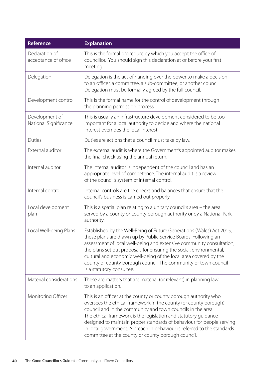<span id="page-39-11"></span><span id="page-39-10"></span><span id="page-39-9"></span><span id="page-39-8"></span><span id="page-39-7"></span><span id="page-39-6"></span><span id="page-39-5"></span><span id="page-39-4"></span><span id="page-39-3"></span><span id="page-39-2"></span><span id="page-39-1"></span><span id="page-39-0"></span>

| Reference                               | <b>Explanation</b>                                                                                                                                                                                                                                                                                                                                                                                                                                                               |
|-----------------------------------------|----------------------------------------------------------------------------------------------------------------------------------------------------------------------------------------------------------------------------------------------------------------------------------------------------------------------------------------------------------------------------------------------------------------------------------------------------------------------------------|
| Declaration of<br>acceptance of office  | This is the formal procedure by which you accept the office of<br>councillor. You should sign this declaration at or before your first<br>meeting.                                                                                                                                                                                                                                                                                                                               |
| Delegation                              | Delegation is the act of handing over the power to make a decision<br>to an officer, a committee, a sub-committee, or another council.<br>Delegation must be formally agreed by the full council.                                                                                                                                                                                                                                                                                |
| Development control                     | This is the formal name for the control of development through<br>the planning permission process.                                                                                                                                                                                                                                                                                                                                                                               |
| Development of<br>National Significance | This is usually an infrastructure development considered to be too<br>important for a local authority to decide and where the national<br>interest overrides the local interest.                                                                                                                                                                                                                                                                                                 |
| Duties                                  | Duties are actions that a council must take by law.                                                                                                                                                                                                                                                                                                                                                                                                                              |
| External auditor                        | The external audit is where the Government's appointed auditor makes<br>the final check using the annual return.                                                                                                                                                                                                                                                                                                                                                                 |
| Internal auditor                        | The internal auditor is independent of the council and has an<br>appropriate level of competence. The internal audit is a review<br>of the council's system of internal control.                                                                                                                                                                                                                                                                                                 |
| Internal control                        | Internal controls are the checks and balances that ensure that the<br>council's business is carried out properly.                                                                                                                                                                                                                                                                                                                                                                |
| Local development<br>plan               | This is a spatial plan relating to a unitary council's area - the area<br>served by a county or county borough authority or by a National Park<br>authority.                                                                                                                                                                                                                                                                                                                     |
| Local Well-being Plans                  | Established by the Well-Being of Future Generations (Wales) Act 2015,<br>these plans are drawn up by Public Service Boards. Following an<br>assessment of local well-being and extensive community consultation,<br>the plans set out proposals for ensuring the social, environmental,<br>cultural and economic well-being of the local area covered by the<br>county or county borough council. The community or town council<br>is a statutory consultee.                     |
| Material considerations                 | These are matters that are material (or relevant) in planning law<br>to an application.                                                                                                                                                                                                                                                                                                                                                                                          |
| Monitoring Officer                      | This is an officer at the county or county borough authority who<br>oversees the ethical framework in the county (or county borough)<br>council and in the community and town councils in the area.<br>The ethical framework is the legislation and statutory guidance<br>designed to maintain proper standards of behaviour for people serving<br>in local government. A breach in behaviour is referred to the standards<br>committee at the county or county borough council. |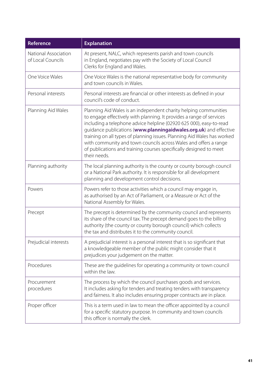<span id="page-40-9"></span><span id="page-40-8"></span><span id="page-40-7"></span><span id="page-40-6"></span><span id="page-40-5"></span><span id="page-40-4"></span><span id="page-40-3"></span><span id="page-40-2"></span><span id="page-40-1"></span><span id="page-40-0"></span>

| <b>Reference</b>                          | <b>Explanation</b>                                                                                                                                                                                                                                                                                                                                                                                                                                                                                                        |
|-------------------------------------------|---------------------------------------------------------------------------------------------------------------------------------------------------------------------------------------------------------------------------------------------------------------------------------------------------------------------------------------------------------------------------------------------------------------------------------------------------------------------------------------------------------------------------|
| National Association<br>of Local Councils | At present, NALC, which represents parish and town councils<br>in England, negotiates pay with the Society of Local Council<br>Clerks for England and Wales.                                                                                                                                                                                                                                                                                                                                                              |
| One Voice Wales                           | One Voice Wales is the national representative body for community<br>and town councils in Wales.                                                                                                                                                                                                                                                                                                                                                                                                                          |
| Personal interests                        | Personal interests are financial or other interests as defined in your<br>council's code of conduct.                                                                                                                                                                                                                                                                                                                                                                                                                      |
| Planning Aid Wales                        | Planning Aid Wales is an independent charity helping communities<br>to engage effectively with planning. It provides a range of services<br>including a telephone advice helpline (02920 625 000), easy-to-read<br>guidance publications (www.planningaidwales.org.uk) and effective<br>training on all types of planning issues. Planning Aid Wales has worked<br>with community and town councils across Wales and offers a range<br>of publications and training courses specifically designed to meet<br>their needs. |
| Planning authority                        | The local planning authority is the county or county borough council<br>or a National Park authority. It is responsible for all development<br>planning and development control decisions.                                                                                                                                                                                                                                                                                                                                |
| Powers                                    | Powers refer to those activities which a council may engage in,<br>as authorised by an Act of Parliament, or a Measure or Act of the<br>National Assembly for Wales.                                                                                                                                                                                                                                                                                                                                                      |
| Precept                                   | The precept is determined by the community council and represents<br>its share of the council tax. The precept demand goes to the billing<br>authority (the county or county borough council) which collects<br>the tax and distributes it to the community council.                                                                                                                                                                                                                                                      |
| Prejudicial interests                     | A prejudicial interest is a personal interest that is so significant that<br>a knowledgeable member of the public might consider that it<br>prejudices your judgement on the matter.                                                                                                                                                                                                                                                                                                                                      |
| Procedures                                | These are the guidelines for operating a community or town council<br>within the law.                                                                                                                                                                                                                                                                                                                                                                                                                                     |
| Procurement<br>procedures                 | The process by which the council purchases goods and services.<br>It includes asking for tenders and treating tenders with transparency<br>and fairness. It also includes ensuring proper contracts are in place.                                                                                                                                                                                                                                                                                                         |
| Proper officer                            | This is a term used in law to mean the officer appointed by a council<br>for a specific statutory purpose. In community and town councils<br>this officer is normally the clerk.                                                                                                                                                                                                                                                                                                                                          |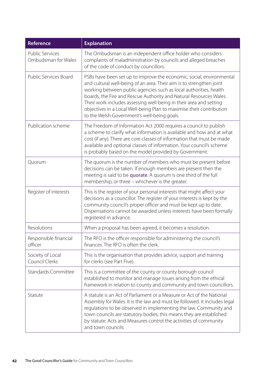<span id="page-41-8"></span><span id="page-41-7"></span><span id="page-41-6"></span><span id="page-41-5"></span><span id="page-41-4"></span><span id="page-41-3"></span><span id="page-41-2"></span><span id="page-41-1"></span><span id="page-41-0"></span>

| Reference                                     | <b>Explanation</b>                                                                                                                                                                                                                                                                                                                                                                                                                                                                   |
|-----------------------------------------------|--------------------------------------------------------------------------------------------------------------------------------------------------------------------------------------------------------------------------------------------------------------------------------------------------------------------------------------------------------------------------------------------------------------------------------------------------------------------------------------|
| <b>Public Services</b><br>Ombudsman for Wales | The Ombudsman is an independent office holder who considers<br>complaints of maladministration by councils and alleged breaches<br>of the code of conduct by councillors.                                                                                                                                                                                                                                                                                                            |
| Public Services Board                         | PSBs have been set up to improve the economic, social, environmental<br>and cultural well-being of an area. Their aim is to strengthen joint<br>working between public agencies such as local authorities, health<br>boards, the Fire and Rescue Authority and Natural Resources Wales.<br>Their work includes assessing well-being in their area and setting<br>objectives in a Local Well-being Plan to maximise their contribution<br>to the Welsh Government's well-being goals. |
| Publication scheme                            | The Freedom of Information Act 2000 requires a council to publish<br>a scheme to clarify what information is available and how and at what<br>cost (if any). There are core classes of information that must be made<br>available and optional classes of information. Your council's scheme<br>is probably based on the model provided by Government.                                                                                                                               |
| Quorum                                        | The quorum is the number of members who must be present before<br>decisions can be taken. If enough members are present then the<br>meeting is said to be quorate. A quorum is one third of the full<br>membership, or three - whichever is the greater.                                                                                                                                                                                                                             |
| Register of interests                         | This is the register of your personal interests that might affect your<br>decisions as a councillor. The register of your interests is kept by the<br>community council's proper officer and must be kept up to date.<br>Dispensations cannot be awarded unless interests have been formally<br>registered in advance.                                                                                                                                                               |
| Resolutions                                   | When a proposal has been agreed, it becomes a resolution.                                                                                                                                                                                                                                                                                                                                                                                                                            |
| Responsible financial<br>officer              | The RFO is the officer responsible for administering the council's<br>finances. The RFO is often the clerk.                                                                                                                                                                                                                                                                                                                                                                          |
| Society of Local<br>Council Clerks            | This is the organisation that provides advice, support and training<br>for clerks (see Part Five).                                                                                                                                                                                                                                                                                                                                                                                   |
| <b>Standards Committee</b>                    | This is a committee of the county or county borough council<br>established to monitor and manage issues arising from the ethical<br>framework in relation to county and community and town councillors.                                                                                                                                                                                                                                                                              |
| Statute                                       | A statute is an Act of Parliament or a Measure or Act of the National<br>Assembly for Wales. It is the law and must be followed. It includes legal<br>regulations to be observed in implementing the law. Community and<br>town councils are statutory bodies; this means they are established<br>by statute. Acts and Measures control the activities of community<br>and town councils.                                                                                            |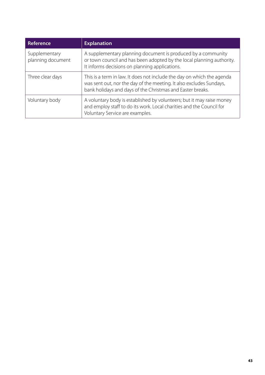<span id="page-42-2"></span><span id="page-42-1"></span><span id="page-42-0"></span>

| Reference                          | <b>Explanation</b>                                                                                                                                                                                          |
|------------------------------------|-------------------------------------------------------------------------------------------------------------------------------------------------------------------------------------------------------------|
| Supplementary<br>planning document | A supplementary planning document is produced by a community<br>or town council and has been adopted by the local planning authority.<br>It informs decisions on planning applications.                     |
| Three clear days                   | This is a term in law. It does not include the day on which the agenda<br>was sent out, nor the day of the meeting. It also excludes Sundays,<br>bank holidays and days of the Christmas and Easter breaks. |
| Voluntary body                     | A voluntary body is established by volunteers; but it may raise money<br>and employ staff to do its work. Local charities and the Council for<br>Voluntary Service are examples.                            |